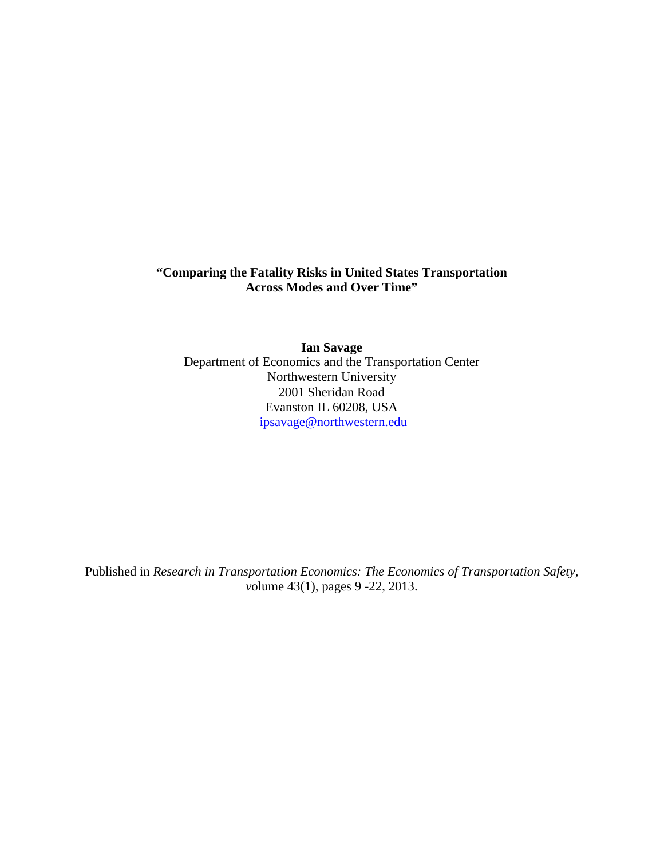# **"Comparing the Fatality Risks in United States Transportation Across Modes and Over Time"**

**Ian Savage** Department of Economics and the Transportation Center Northwestern University 2001 Sheridan Road Evanston IL 60208, USA [ipsavage@northwestern.edu](mailto:ipsavage@northwestern.edu)

Published in *Research in Transportation Economics: The Economics of Transportation Safety, v*olume 43(1), pages 9 -22, 2013.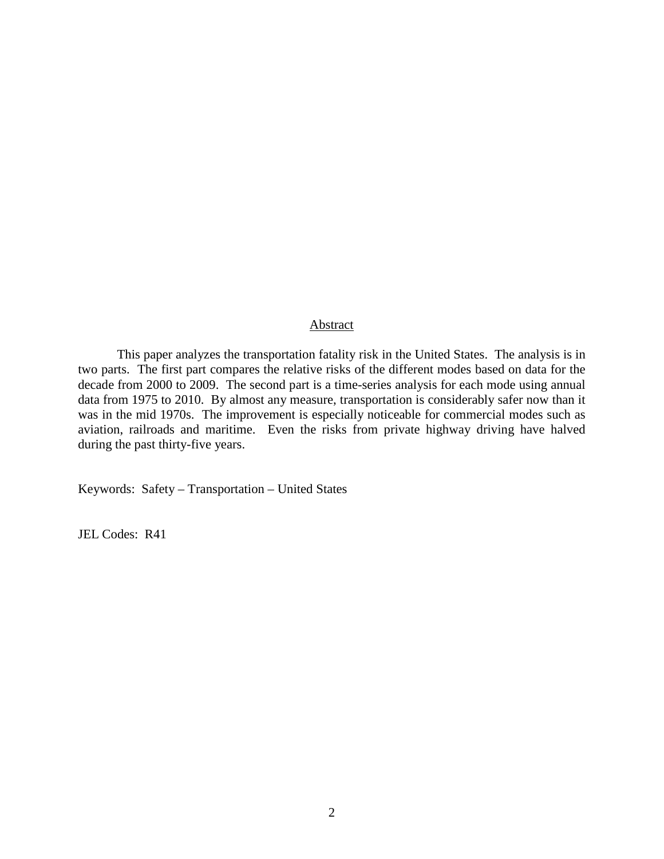## Abstract

This paper analyzes the transportation fatality risk in the United States. The analysis is in two parts. The first part compares the relative risks of the different modes based on data for the decade from 2000 to 2009. The second part is a time-series analysis for each mode using annual data from 1975 to 2010. By almost any measure, transportation is considerably safer now than it was in the mid 1970s. The improvement is especially noticeable for commercial modes such as aviation, railroads and maritime. Even the risks from private highway driving have halved during the past thirty-five years.

Keywords: Safety – Transportation – United States

JEL Codes: R41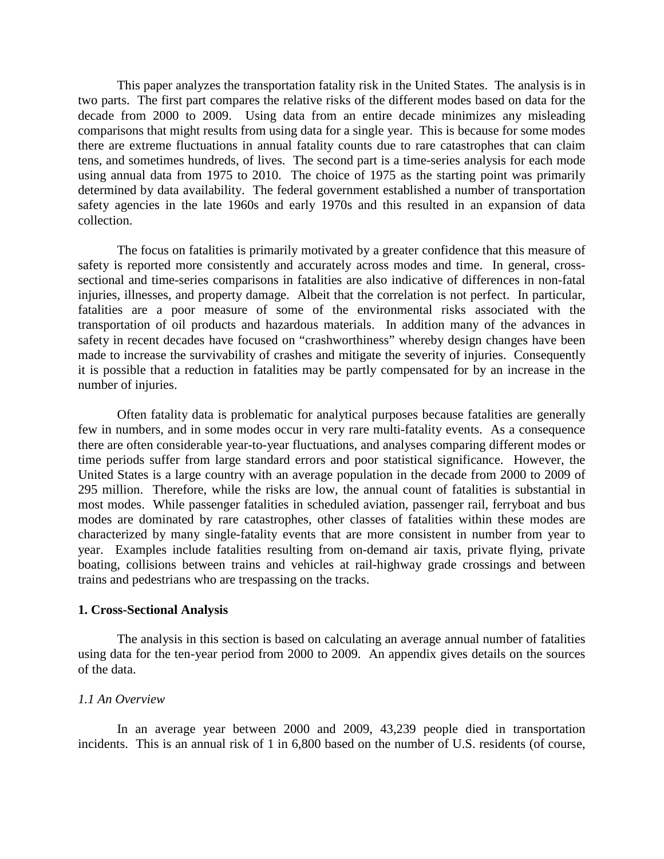This paper analyzes the transportation fatality risk in the United States. The analysis is in two parts. The first part compares the relative risks of the different modes based on data for the decade from 2000 to 2009. Using data from an entire decade minimizes any misleading comparisons that might results from using data for a single year. This is because for some modes there are extreme fluctuations in annual fatality counts due to rare catastrophes that can claim tens, and sometimes hundreds, of lives. The second part is a time-series analysis for each mode using annual data from 1975 to 2010. The choice of 1975 as the starting point was primarily determined by data availability. The federal government established a number of transportation safety agencies in the late 1960s and early 1970s and this resulted in an expansion of data collection.

The focus on fatalities is primarily motivated by a greater confidence that this measure of safety is reported more consistently and accurately across modes and time. In general, crosssectional and time-series comparisons in fatalities are also indicative of differences in non-fatal injuries, illnesses, and property damage. Albeit that the correlation is not perfect. In particular, fatalities are a poor measure of some of the environmental risks associated with the transportation of oil products and hazardous materials. In addition many of the advances in safety in recent decades have focused on "crashworthiness" whereby design changes have been made to increase the survivability of crashes and mitigate the severity of injuries. Consequently it is possible that a reduction in fatalities may be partly compensated for by an increase in the number of injuries.

Often fatality data is problematic for analytical purposes because fatalities are generally few in numbers, and in some modes occur in very rare multi-fatality events. As a consequence there are often considerable year-to-year fluctuations, and analyses comparing different modes or time periods suffer from large standard errors and poor statistical significance. However, the United States is a large country with an average population in the decade from 2000 to 2009 of 295 million. Therefore, while the risks are low, the annual count of fatalities is substantial in most modes. While passenger fatalities in scheduled aviation, passenger rail, ferryboat and bus modes are dominated by rare catastrophes, other classes of fatalities within these modes are characterized by many single-fatality events that are more consistent in number from year to year. Examples include fatalities resulting from on-demand air taxis, private flying, private boating, collisions between trains and vehicles at rail-highway grade crossings and between trains and pedestrians who are trespassing on the tracks.

## **1. Cross-Sectional Analysis**

The analysis in this section is based on calculating an average annual number of fatalities using data for the ten-year period from 2000 to 2009. An appendix gives details on the sources of the data.

## *1.1 An Overview*

In an average year between 2000 and 2009, 43,239 people died in transportation incidents. This is an annual risk of 1 in 6,800 based on the number of U.S. residents (of course,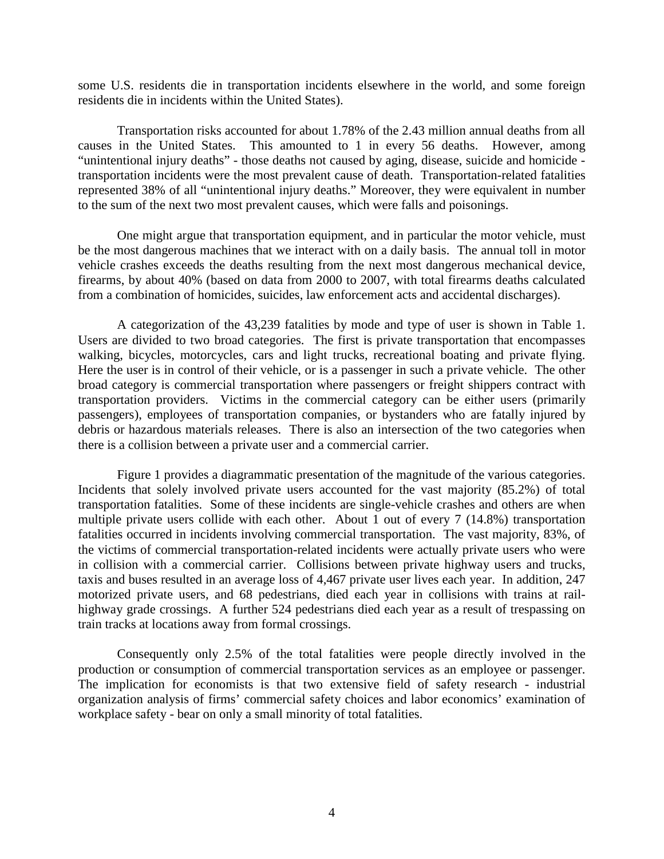some U.S. residents die in transportation incidents elsewhere in the world, and some foreign residents die in incidents within the United States).

Transportation risks accounted for about 1.78% of the 2.43 million annual deaths from all causes in the United States. This amounted to 1 in every 56 deaths. However, among "unintentional injury deaths" - those deaths not caused by aging, disease, suicide and homicide transportation incidents were the most prevalent cause of death. Transportation-related fatalities represented 38% of all "unintentional injury deaths." Moreover, they were equivalent in number to the sum of the next two most prevalent causes, which were falls and poisonings.

One might argue that transportation equipment, and in particular the motor vehicle, must be the most dangerous machines that we interact with on a daily basis. The annual toll in motor vehicle crashes exceeds the deaths resulting from the next most dangerous mechanical device, firearms, by about 40% (based on data from 2000 to 2007, with total firearms deaths calculated from a combination of homicides, suicides, law enforcement acts and accidental discharges).

A categorization of the 43,239 fatalities by mode and type of user is shown in Table 1. Users are divided to two broad categories. The first is private transportation that encompasses walking, bicycles, motorcycles, cars and light trucks, recreational boating and private flying. Here the user is in control of their vehicle, or is a passenger in such a private vehicle. The other broad category is commercial transportation where passengers or freight shippers contract with transportation providers. Victims in the commercial category can be either users (primarily passengers), employees of transportation companies, or bystanders who are fatally injured by debris or hazardous materials releases. There is also an intersection of the two categories when there is a collision between a private user and a commercial carrier.

Figure 1 provides a diagrammatic presentation of the magnitude of the various categories. Incidents that solely involved private users accounted for the vast majority (85.2%) of total transportation fatalities. Some of these incidents are single-vehicle crashes and others are when multiple private users collide with each other. About 1 out of every 7 (14.8%) transportation fatalities occurred in incidents involving commercial transportation. The vast majority, 83%, of the victims of commercial transportation-related incidents were actually private users who were in collision with a commercial carrier. Collisions between private highway users and trucks, taxis and buses resulted in an average loss of 4,467 private user lives each year. In addition, 247 motorized private users, and 68 pedestrians, died each year in collisions with trains at railhighway grade crossings. A further 524 pedestrians died each year as a result of trespassing on train tracks at locations away from formal crossings.

Consequently only 2.5% of the total fatalities were people directly involved in the production or consumption of commercial transportation services as an employee or passenger. The implication for economists is that two extensive field of safety research - industrial organization analysis of firms' commercial safety choices and labor economics' examination of workplace safety - bear on only a small minority of total fatalities.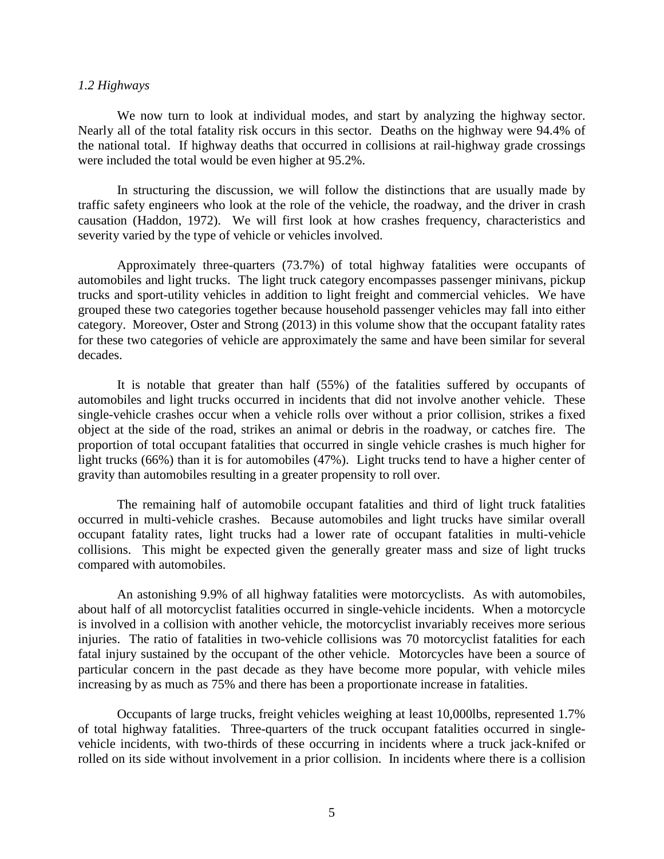#### *1.2 Highways*

We now turn to look at individual modes, and start by analyzing the highway sector. Nearly all of the total fatality risk occurs in this sector. Deaths on the highway were 94.4% of the national total. If highway deaths that occurred in collisions at rail-highway grade crossings were included the total would be even higher at 95.2%.

In structuring the discussion, we will follow the distinctions that are usually made by traffic safety engineers who look at the role of the vehicle, the roadway, and the driver in crash causation (Haddon, 1972). We will first look at how crashes frequency, characteristics and severity varied by the type of vehicle or vehicles involved.

Approximately three-quarters (73.7%) of total highway fatalities were occupants of automobiles and light trucks. The light truck category encompasses passenger minivans, pickup trucks and sport-utility vehicles in addition to light freight and commercial vehicles. We have grouped these two categories together because household passenger vehicles may fall into either category. Moreover, Oster and Strong (2013) in this volume show that the occupant fatality rates for these two categories of vehicle are approximately the same and have been similar for several decades.

It is notable that greater than half (55%) of the fatalities suffered by occupants of automobiles and light trucks occurred in incidents that did not involve another vehicle. These single-vehicle crashes occur when a vehicle rolls over without a prior collision, strikes a fixed object at the side of the road, strikes an animal or debris in the roadway, or catches fire. The proportion of total occupant fatalities that occurred in single vehicle crashes is much higher for light trucks (66%) than it is for automobiles (47%). Light trucks tend to have a higher center of gravity than automobiles resulting in a greater propensity to roll over.

The remaining half of automobile occupant fatalities and third of light truck fatalities occurred in multi-vehicle crashes. Because automobiles and light trucks have similar overall occupant fatality rates, light trucks had a lower rate of occupant fatalities in multi-vehicle collisions. This might be expected given the generally greater mass and size of light trucks compared with automobiles.

An astonishing 9.9% of all highway fatalities were motorcyclists. As with automobiles, about half of all motorcyclist fatalities occurred in single-vehicle incidents. When a motorcycle is involved in a collision with another vehicle, the motorcyclist invariably receives more serious injuries. The ratio of fatalities in two-vehicle collisions was 70 motorcyclist fatalities for each fatal injury sustained by the occupant of the other vehicle. Motorcycles have been a source of particular concern in the past decade as they have become more popular, with vehicle miles increasing by as much as 75% and there has been a proportionate increase in fatalities.

Occupants of large trucks, freight vehicles weighing at least 10,000lbs, represented 1.7% of total highway fatalities. Three-quarters of the truck occupant fatalities occurred in singlevehicle incidents, with two-thirds of these occurring in incidents where a truck jack-knifed or rolled on its side without involvement in a prior collision. In incidents where there is a collision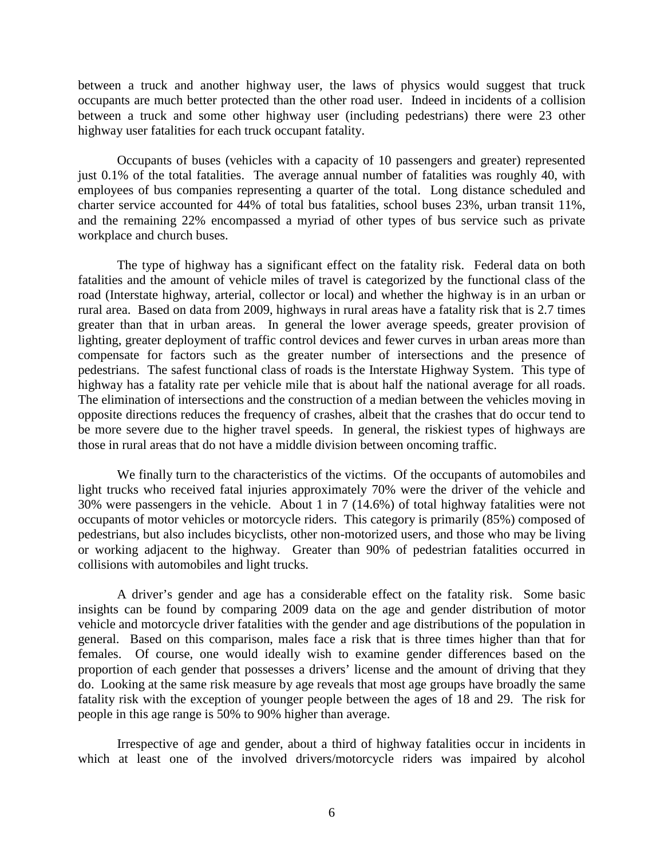between a truck and another highway user, the laws of physics would suggest that truck occupants are much better protected than the other road user. Indeed in incidents of a collision between a truck and some other highway user (including pedestrians) there were 23 other highway user fatalities for each truck occupant fatality.

Occupants of buses (vehicles with a capacity of 10 passengers and greater) represented just 0.1% of the total fatalities. The average annual number of fatalities was roughly 40, with employees of bus companies representing a quarter of the total. Long distance scheduled and charter service accounted for 44% of total bus fatalities, school buses 23%, urban transit 11%, and the remaining 22% encompassed a myriad of other types of bus service such as private workplace and church buses.

The type of highway has a significant effect on the fatality risk. Federal data on both fatalities and the amount of vehicle miles of travel is categorized by the functional class of the road (Interstate highway, arterial, collector or local) and whether the highway is in an urban or rural area. Based on data from 2009, highways in rural areas have a fatality risk that is 2.7 times greater than that in urban areas. In general the lower average speeds, greater provision of lighting, greater deployment of traffic control devices and fewer curves in urban areas more than compensate for factors such as the greater number of intersections and the presence of pedestrians. The safest functional class of roads is the Interstate Highway System. This type of highway has a fatality rate per vehicle mile that is about half the national average for all roads. The elimination of intersections and the construction of a median between the vehicles moving in opposite directions reduces the frequency of crashes, albeit that the crashes that do occur tend to be more severe due to the higher travel speeds. In general, the riskiest types of highways are those in rural areas that do not have a middle division between oncoming traffic.

We finally turn to the characteristics of the victims. Of the occupants of automobiles and light trucks who received fatal injuries approximately 70% were the driver of the vehicle and 30% were passengers in the vehicle. About 1 in 7 (14.6%) of total highway fatalities were not occupants of motor vehicles or motorcycle riders. This category is primarily (85%) composed of pedestrians, but also includes bicyclists, other non-motorized users, and those who may be living or working adjacent to the highway. Greater than 90% of pedestrian fatalities occurred in collisions with automobiles and light trucks.

A driver's gender and age has a considerable effect on the fatality risk. Some basic insights can be found by comparing 2009 data on the age and gender distribution of motor vehicle and motorcycle driver fatalities with the gender and age distributions of the population in general. Based on this comparison, males face a risk that is three times higher than that for females. Of course, one would ideally wish to examine gender differences based on the proportion of each gender that possesses a drivers' license and the amount of driving that they do. Looking at the same risk measure by age reveals that most age groups have broadly the same fatality risk with the exception of younger people between the ages of 18 and 29. The risk for people in this age range is 50% to 90% higher than average.

Irrespective of age and gender, about a third of highway fatalities occur in incidents in which at least one of the involved drivers/motorcycle riders was impaired by alcohol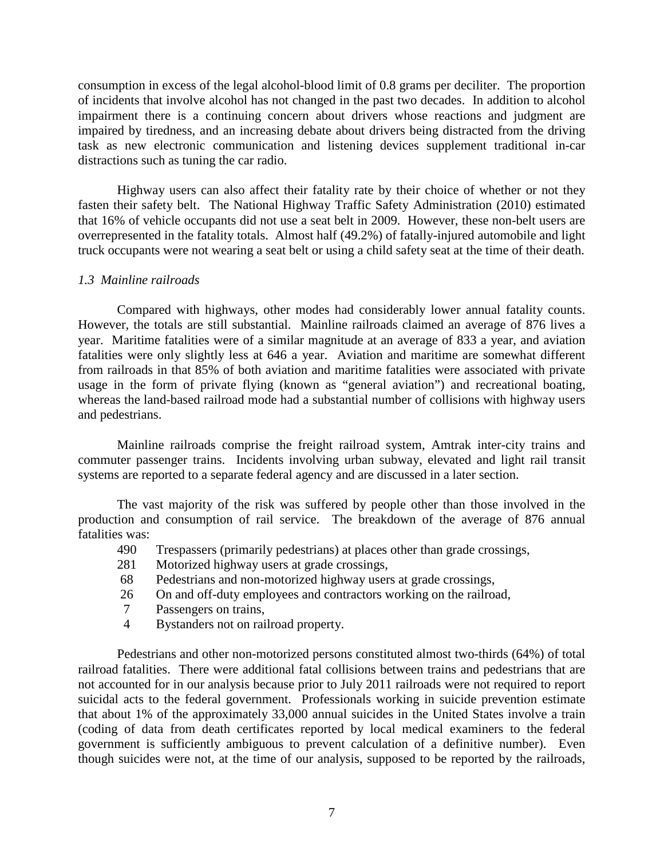consumption in excess of the legal alcohol-blood limit of 0.8 grams per deciliter. The proportion of incidents that involve alcohol has not changed in the past two decades. In addition to alcohol impairment there is a continuing concern about drivers whose reactions and judgment are impaired by tiredness, and an increasing debate about drivers being distracted from the driving task as new electronic communication and listening devices supplement traditional in-car distractions such as tuning the car radio.

Highway users can also affect their fatality rate by their choice of whether or not they fasten their safety belt. The National Highway Traffic Safety Administration (2010) estimated that 16% of vehicle occupants did not use a seat belt in 2009. However, these non-belt users are overrepresented in the fatality totals. Almost half (49.2%) of fatally-injured automobile and light truck occupants were not wearing a seat belt or using a child safety seat at the time of their death.

# *1.3 Mainline railroads*

Compared with highways, other modes had considerably lower annual fatality counts. However, the totals are still substantial. Mainline railroads claimed an average of 876 lives a year. Maritime fatalities were of a similar magnitude at an average of 833 a year, and aviation fatalities were only slightly less at 646 a year. Aviation and maritime are somewhat different from railroads in that 85% of both aviation and maritime fatalities were associated with private usage in the form of private flying (known as "general aviation") and recreational boating, whereas the land-based railroad mode had a substantial number of collisions with highway users and pedestrians.

Mainline railroads comprise the freight railroad system, Amtrak inter-city trains and commuter passenger trains. Incidents involving urban subway, elevated and light rail transit systems are reported to a separate federal agency and are discussed in a later section.

The vast majority of the risk was suffered by people other than those involved in the production and consumption of rail service. The breakdown of the average of 876 annual fatalities was:

- 490 Trespassers (primarily pedestrians) at places other than grade crossings,
- 281 Motorized highway users at grade crossings,
- 68 Pedestrians and non-motorized highway users at grade crossings,
- 26 On and off-duty employees and contractors working on the railroad,
- 7 Passengers on trains,
- 4 Bystanders not on railroad property.

Pedestrians and other non-motorized persons constituted almost two-thirds (64%) of total railroad fatalities. There were additional fatal collisions between trains and pedestrians that are not accounted for in our analysis because prior to July 2011 railroads were not required to report suicidal acts to the federal government. Professionals working in suicide prevention estimate that about 1% of the approximately 33,000 annual suicides in the United States involve a train (coding of data from death certificates reported by local medical examiners to the federal government is sufficiently ambiguous to prevent calculation of a definitive number). Even though suicides were not, at the time of our analysis, supposed to be reported by the railroads,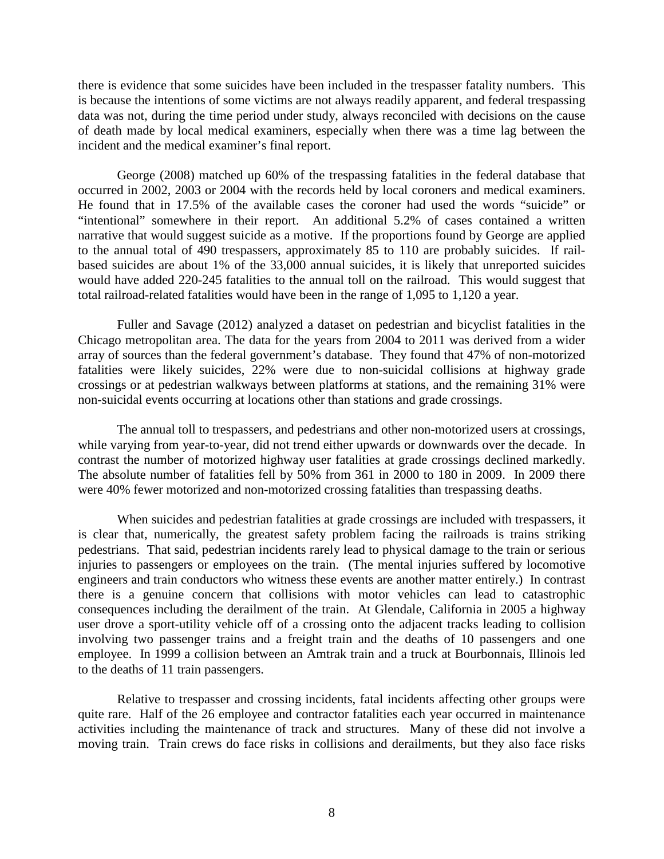there is evidence that some suicides have been included in the trespasser fatality numbers. This is because the intentions of some victims are not always readily apparent, and federal trespassing data was not, during the time period under study, always reconciled with decisions on the cause of death made by local medical examiners, especially when there was a time lag between the incident and the medical examiner's final report.

George (2008) matched up 60% of the trespassing fatalities in the federal database that occurred in 2002, 2003 or 2004 with the records held by local coroners and medical examiners. He found that in 17.5% of the available cases the coroner had used the words "suicide" or "intentional" somewhere in their report. An additional 5.2% of cases contained a written narrative that would suggest suicide as a motive. If the proportions found by George are applied to the annual total of 490 trespassers, approximately 85 to 110 are probably suicides. If railbased suicides are about 1% of the 33,000 annual suicides, it is likely that unreported suicides would have added 220-245 fatalities to the annual toll on the railroad. This would suggest that total railroad-related fatalities would have been in the range of 1,095 to 1,120 a year.

Fuller and Savage (2012) analyzed a dataset on pedestrian and bicyclist fatalities in the Chicago metropolitan area. The data for the years from 2004 to 2011 was derived from a wider array of sources than the federal government's database. They found that 47% of non-motorized fatalities were likely suicides, 22% were due to non-suicidal collisions at highway grade crossings or at pedestrian walkways between platforms at stations, and the remaining 31% were non-suicidal events occurring at locations other than stations and grade crossings.

The annual toll to trespassers, and pedestrians and other non-motorized users at crossings, while varying from year-to-year, did not trend either upwards or downwards over the decade. In contrast the number of motorized highway user fatalities at grade crossings declined markedly. The absolute number of fatalities fell by 50% from 361 in 2000 to 180 in 2009. In 2009 there were 40% fewer motorized and non-motorized crossing fatalities than trespassing deaths.

When suicides and pedestrian fatalities at grade crossings are included with trespassers, it is clear that, numerically, the greatest safety problem facing the railroads is trains striking pedestrians. That said, pedestrian incidents rarely lead to physical damage to the train or serious injuries to passengers or employees on the train. (The mental injuries suffered by locomotive engineers and train conductors who witness these events are another matter entirely.) In contrast there is a genuine concern that collisions with motor vehicles can lead to catastrophic consequences including the derailment of the train. At Glendale, California in 2005 a highway user drove a sport-utility vehicle off of a crossing onto the adjacent tracks leading to collision involving two passenger trains and a freight train and the deaths of 10 passengers and one employee. In 1999 a collision between an Amtrak train and a truck at Bourbonnais, Illinois led to the deaths of 11 train passengers.

Relative to trespasser and crossing incidents, fatal incidents affecting other groups were quite rare. Half of the 26 employee and contractor fatalities each year occurred in maintenance activities including the maintenance of track and structures. Many of these did not involve a moving train. Train crews do face risks in collisions and derailments, but they also face risks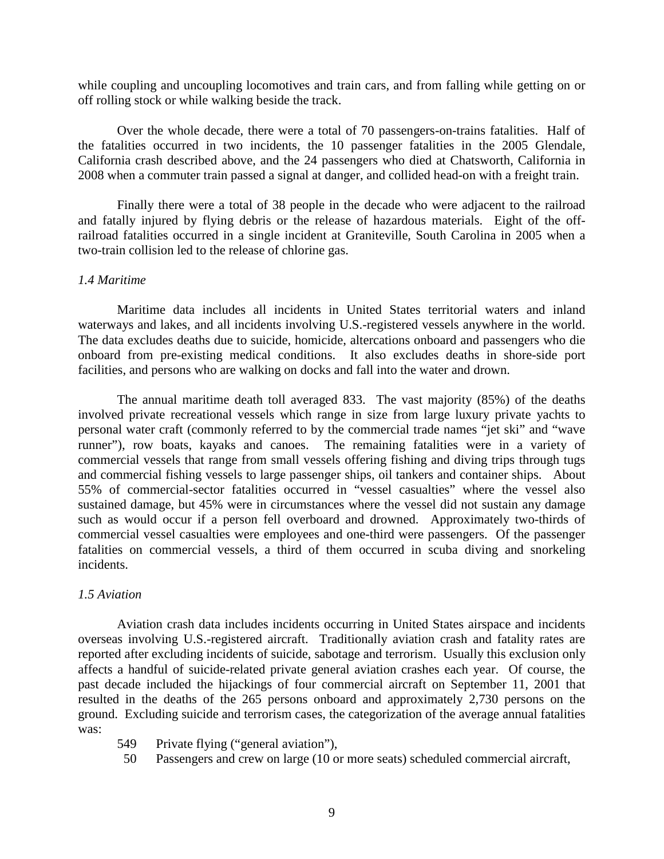while coupling and uncoupling locomotives and train cars, and from falling while getting on or off rolling stock or while walking beside the track.

Over the whole decade, there were a total of 70 passengers-on-trains fatalities. Half of the fatalities occurred in two incidents, the 10 passenger fatalities in the 2005 Glendale, California crash described above, and the 24 passengers who died at Chatsworth, California in 2008 when a commuter train passed a signal at danger, and collided head-on with a freight train.

Finally there were a total of 38 people in the decade who were adjacent to the railroad and fatally injured by flying debris or the release of hazardous materials. Eight of the offrailroad fatalities occurred in a single incident at Graniteville, South Carolina in 2005 when a two-train collision led to the release of chlorine gas.

### *1.4 Maritime*

Maritime data includes all incidents in United States territorial waters and inland waterways and lakes, and all incidents involving U.S.-registered vessels anywhere in the world. The data excludes deaths due to suicide, homicide, altercations onboard and passengers who die onboard from pre-existing medical conditions. It also excludes deaths in shore-side port facilities, and persons who are walking on docks and fall into the water and drown.

The annual maritime death toll averaged 833. The vast majority (85%) of the deaths involved private recreational vessels which range in size from large luxury private yachts to personal water craft (commonly referred to by the commercial trade names "jet ski" and "wave runner"), row boats, kayaks and canoes. The remaining fatalities were in a variety of commercial vessels that range from small vessels offering fishing and diving trips through tugs and commercial fishing vessels to large passenger ships, oil tankers and container ships. About 55% of commercial-sector fatalities occurred in "vessel casualties" where the vessel also sustained damage, but 45% were in circumstances where the vessel did not sustain any damage such as would occur if a person fell overboard and drowned. Approximately two-thirds of commercial vessel casualties were employees and one-third were passengers. Of the passenger fatalities on commercial vessels, a third of them occurred in scuba diving and snorkeling incidents.

#### *1.5 Aviation*

Aviation crash data includes incidents occurring in United States airspace and incidents overseas involving U.S.-registered aircraft. Traditionally aviation crash and fatality rates are reported after excluding incidents of suicide, sabotage and terrorism. Usually this exclusion only affects a handful of suicide-related private general aviation crashes each year. Of course, the past decade included the hijackings of four commercial aircraft on September 11, 2001 that resulted in the deaths of the 265 persons onboard and approximately 2,730 persons on the ground. Excluding suicide and terrorism cases, the categorization of the average annual fatalities was:

549 Private flying ("general aviation"),

50 Passengers and crew on large (10 or more seats) scheduled commercial aircraft,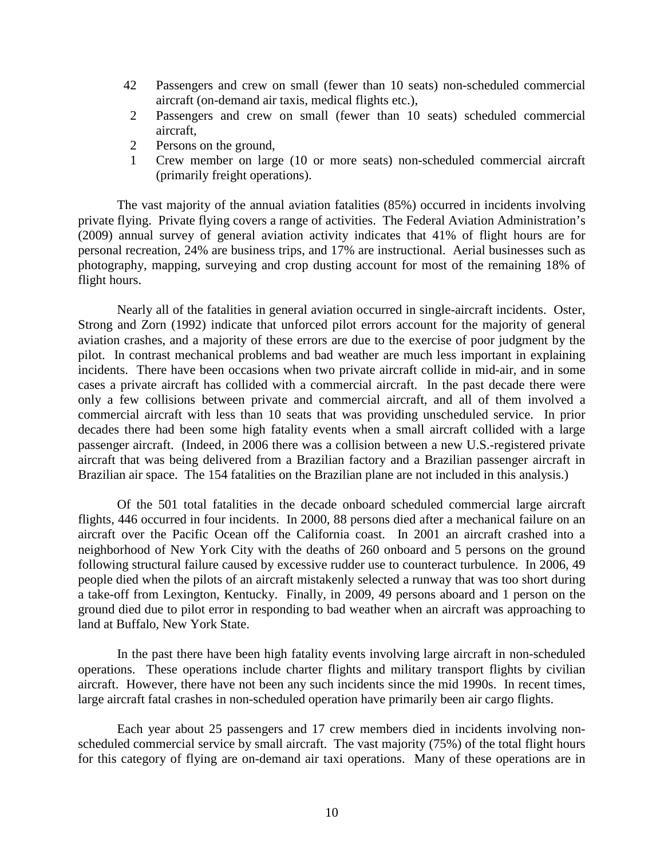- 42 Passengers and crew on small (fewer than 10 seats) non-scheduled commercial aircraft (on-demand air taxis, medical flights etc.),
- 2 Passengers and crew on small (fewer than 10 seats) scheduled commercial aircraft,
- 2 Persons on the ground,
- 1 Crew member on large (10 or more seats) non-scheduled commercial aircraft (primarily freight operations).

The vast majority of the annual aviation fatalities (85%) occurred in incidents involving private flying. Private flying covers a range of activities. The Federal Aviation Administration's (2009) annual survey of general aviation activity indicates that 41% of flight hours are for personal recreation, 24% are business trips, and 17% are instructional. Aerial businesses such as photography, mapping, surveying and crop dusting account for most of the remaining 18% of flight hours.

Nearly all of the fatalities in general aviation occurred in single-aircraft incidents. Oster, Strong and Zorn (1992) indicate that unforced pilot errors account for the majority of general aviation crashes, and a majority of these errors are due to the exercise of poor judgment by the pilot. In contrast mechanical problems and bad weather are much less important in explaining incidents. There have been occasions when two private aircraft collide in mid-air, and in some cases a private aircraft has collided with a commercial aircraft. In the past decade there were only a few collisions between private and commercial aircraft, and all of them involved a commercial aircraft with less than 10 seats that was providing unscheduled service. In prior decades there had been some high fatality events when a small aircraft collided with a large passenger aircraft. (Indeed, in 2006 there was a collision between a new U.S.-registered private aircraft that was being delivered from a Brazilian factory and a Brazilian passenger aircraft in Brazilian air space. The 154 fatalities on the Brazilian plane are not included in this analysis.)

Of the 501 total fatalities in the decade onboard scheduled commercial large aircraft flights, 446 occurred in four incidents. In 2000, 88 persons died after a mechanical failure on an aircraft over the Pacific Ocean off the California coast. In 2001 an aircraft crashed into a neighborhood of New York City with the deaths of 260 onboard and 5 persons on the ground following structural failure caused by excessive rudder use to counteract turbulence. In 2006, 49 people died when the pilots of an aircraft mistakenly selected a runway that was too short during a take-off from Lexington, Kentucky. Finally, in 2009, 49 persons aboard and 1 person on the ground died due to pilot error in responding to bad weather when an aircraft was approaching to land at Buffalo, New York State.

In the past there have been high fatality events involving large aircraft in non-scheduled operations. These operations include charter flights and military transport flights by civilian aircraft. However, there have not been any such incidents since the mid 1990s. In recent times, large aircraft fatal crashes in non-scheduled operation have primarily been air cargo flights.

Each year about 25 passengers and 17 crew members died in incidents involving nonscheduled commercial service by small aircraft. The vast majority (75%) of the total flight hours for this category of flying are on-demand air taxi operations. Many of these operations are in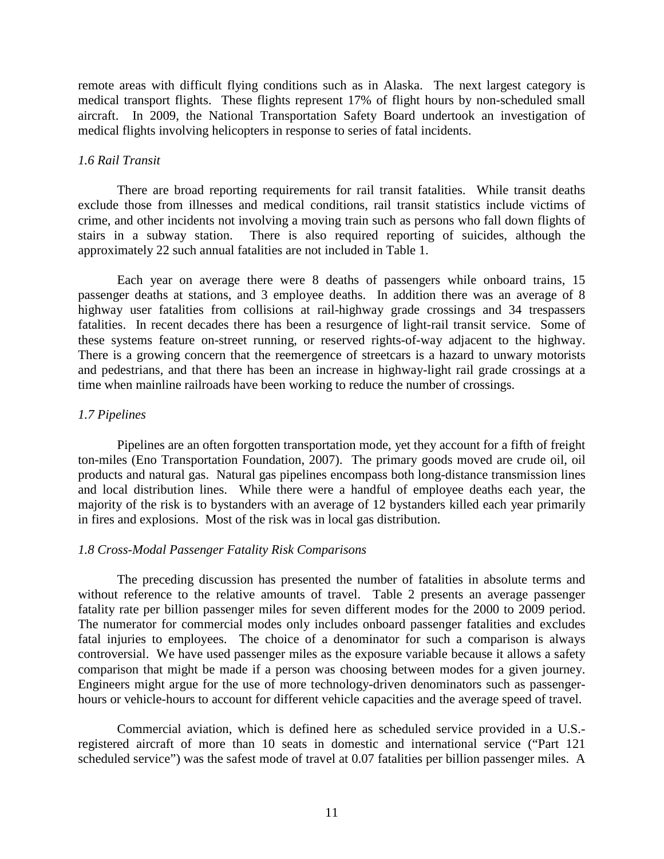remote areas with difficult flying conditions such as in Alaska. The next largest category is medical transport flights. These flights represent 17% of flight hours by non-scheduled small aircraft. In 2009, the National Transportation Safety Board undertook an investigation of medical flights involving helicopters in response to series of fatal incidents.

### *1.6 Rail Transit*

There are broad reporting requirements for rail transit fatalities. While transit deaths exclude those from illnesses and medical conditions, rail transit statistics include victims of crime, and other incidents not involving a moving train such as persons who fall down flights of stairs in a subway station. There is also required reporting of suicides, although the approximately 22 such annual fatalities are not included in Table 1.

Each year on average there were 8 deaths of passengers while onboard trains, 15 passenger deaths at stations, and 3 employee deaths. In addition there was an average of 8 highway user fatalities from collisions at rail-highway grade crossings and 34 trespassers fatalities. In recent decades there has been a resurgence of light-rail transit service. Some of these systems feature on-street running, or reserved rights-of-way adjacent to the highway. There is a growing concern that the reemergence of streetcars is a hazard to unwary motorists and pedestrians, and that there has been an increase in highway-light rail grade crossings at a time when mainline railroads have been working to reduce the number of crossings.

# *1.7 Pipelines*

Pipelines are an often forgotten transportation mode, yet they account for a fifth of freight ton-miles (Eno Transportation Foundation, 2007). The primary goods moved are crude oil, oil products and natural gas. Natural gas pipelines encompass both long-distance transmission lines and local distribution lines. While there were a handful of employee deaths each year, the majority of the risk is to bystanders with an average of 12 bystanders killed each year primarily in fires and explosions. Most of the risk was in local gas distribution.

## *1.8 Cross-Modal Passenger Fatality Risk Comparisons*

The preceding discussion has presented the number of fatalities in absolute terms and without reference to the relative amounts of travel. Table 2 presents an average passenger fatality rate per billion passenger miles for seven different modes for the 2000 to 2009 period. The numerator for commercial modes only includes onboard passenger fatalities and excludes fatal injuries to employees. The choice of a denominator for such a comparison is always controversial. We have used passenger miles as the exposure variable because it allows a safety comparison that might be made if a person was choosing between modes for a given journey. Engineers might argue for the use of more technology-driven denominators such as passengerhours or vehicle-hours to account for different vehicle capacities and the average speed of travel.

Commercial aviation, which is defined here as scheduled service provided in a U.S. registered aircraft of more than 10 seats in domestic and international service ("Part 121 scheduled service") was the safest mode of travel at 0.07 fatalities per billion passenger miles. A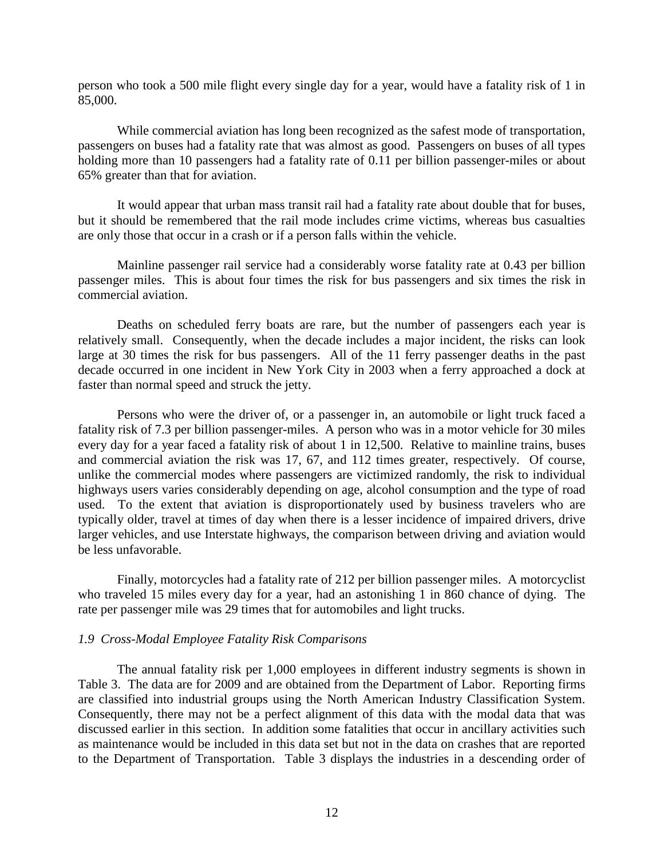person who took a 500 mile flight every single day for a year, would have a fatality risk of 1 in 85,000.

While commercial aviation has long been recognized as the safest mode of transportation, passengers on buses had a fatality rate that was almost as good. Passengers on buses of all types holding more than 10 passengers had a fatality rate of 0.11 per billion passenger-miles or about 65% greater than that for aviation.

It would appear that urban mass transit rail had a fatality rate about double that for buses, but it should be remembered that the rail mode includes crime victims, whereas bus casualties are only those that occur in a crash or if a person falls within the vehicle.

Mainline passenger rail service had a considerably worse fatality rate at 0.43 per billion passenger miles. This is about four times the risk for bus passengers and six times the risk in commercial aviation.

Deaths on scheduled ferry boats are rare, but the number of passengers each year is relatively small. Consequently, when the decade includes a major incident, the risks can look large at 30 times the risk for bus passengers. All of the 11 ferry passenger deaths in the past decade occurred in one incident in New York City in 2003 when a ferry approached a dock at faster than normal speed and struck the jetty.

Persons who were the driver of, or a passenger in, an automobile or light truck faced a fatality risk of 7.3 per billion passenger-miles. A person who was in a motor vehicle for 30 miles every day for a year faced a fatality risk of about 1 in 12,500. Relative to mainline trains, buses and commercial aviation the risk was 17, 67, and 112 times greater, respectively. Of course, unlike the commercial modes where passengers are victimized randomly, the risk to individual highways users varies considerably depending on age, alcohol consumption and the type of road used. To the extent that aviation is disproportionately used by business travelers who are typically older, travel at times of day when there is a lesser incidence of impaired drivers, drive larger vehicles, and use Interstate highways, the comparison between driving and aviation would be less unfavorable.

Finally, motorcycles had a fatality rate of 212 per billion passenger miles. A motorcyclist who traveled 15 miles every day for a year, had an astonishing 1 in 860 chance of dying. The rate per passenger mile was 29 times that for automobiles and light trucks.

## *1.9 Cross-Modal Employee Fatality Risk Comparisons*

The annual fatality risk per 1,000 employees in different industry segments is shown in Table 3. The data are for 2009 and are obtained from the Department of Labor. Reporting firms are classified into industrial groups using the North American Industry Classification System. Consequently, there may not be a perfect alignment of this data with the modal data that was discussed earlier in this section. In addition some fatalities that occur in ancillary activities such as maintenance would be included in this data set but not in the data on crashes that are reported to the Department of Transportation. Table 3 displays the industries in a descending order of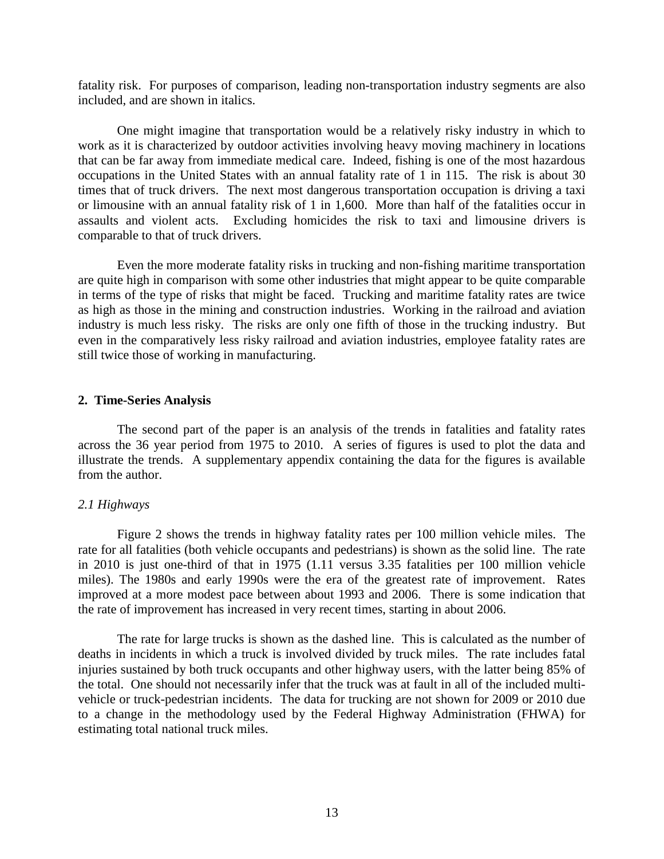fatality risk. For purposes of comparison, leading non-transportation industry segments are also included, and are shown in italics.

One might imagine that transportation would be a relatively risky industry in which to work as it is characterized by outdoor activities involving heavy moving machinery in locations that can be far away from immediate medical care. Indeed, fishing is one of the most hazardous occupations in the United States with an annual fatality rate of 1 in 115. The risk is about 30 times that of truck drivers. The next most dangerous transportation occupation is driving a taxi or limousine with an annual fatality risk of 1 in 1,600. More than half of the fatalities occur in assaults and violent acts. Excluding homicides the risk to taxi and limousine drivers is comparable to that of truck drivers.

Even the more moderate fatality risks in trucking and non-fishing maritime transportation are quite high in comparison with some other industries that might appear to be quite comparable in terms of the type of risks that might be faced. Trucking and maritime fatality rates are twice as high as those in the mining and construction industries. Working in the railroad and aviation industry is much less risky. The risks are only one fifth of those in the trucking industry. But even in the comparatively less risky railroad and aviation industries, employee fatality rates are still twice those of working in manufacturing.

## **2. Time-Series Analysis**

The second part of the paper is an analysis of the trends in fatalities and fatality rates across the 36 year period from 1975 to 2010. A series of figures is used to plot the data and illustrate the trends. A supplementary appendix containing the data for the figures is available from the author.

#### *2.1 Highways*

Figure 2 shows the trends in highway fatality rates per 100 million vehicle miles. The rate for all fatalities (both vehicle occupants and pedestrians) is shown as the solid line. The rate in 2010 is just one-third of that in 1975 (1.11 versus 3.35 fatalities per 100 million vehicle miles). The 1980s and early 1990s were the era of the greatest rate of improvement. Rates improved at a more modest pace between about 1993 and 2006. There is some indication that the rate of improvement has increased in very recent times, starting in about 2006.

The rate for large trucks is shown as the dashed line. This is calculated as the number of deaths in incidents in which a truck is involved divided by truck miles. The rate includes fatal injuries sustained by both truck occupants and other highway users, with the latter being 85% of the total. One should not necessarily infer that the truck was at fault in all of the included multivehicle or truck-pedestrian incidents. The data for trucking are not shown for 2009 or 2010 due to a change in the methodology used by the Federal Highway Administration (FHWA) for estimating total national truck miles.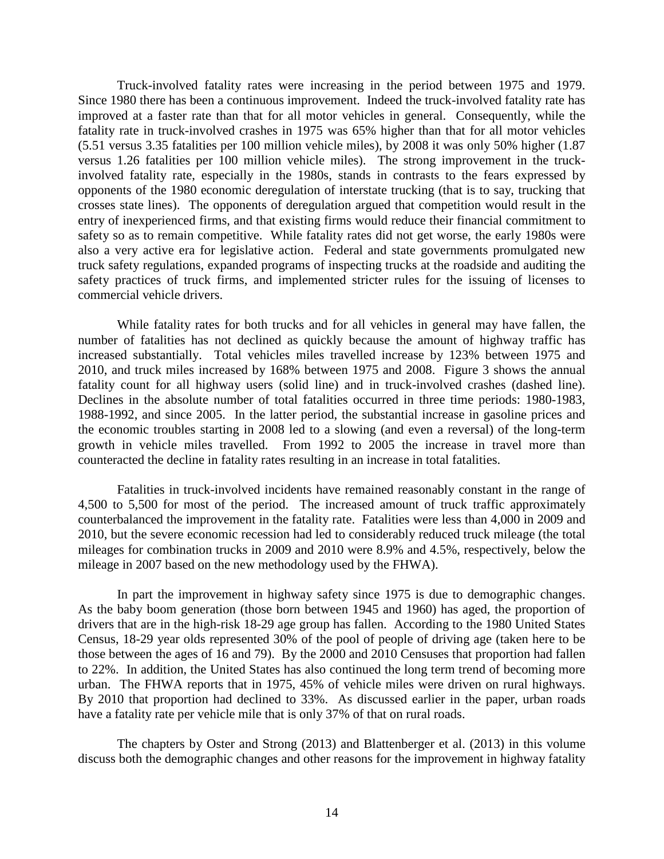Truck-involved fatality rates were increasing in the period between 1975 and 1979. Since 1980 there has been a continuous improvement. Indeed the truck-involved fatality rate has improved at a faster rate than that for all motor vehicles in general. Consequently, while the fatality rate in truck-involved crashes in 1975 was 65% higher than that for all motor vehicles (5.51 versus 3.35 fatalities per 100 million vehicle miles), by 2008 it was only 50% higher (1.87 versus 1.26 fatalities per 100 million vehicle miles). The strong improvement in the truckinvolved fatality rate, especially in the 1980s, stands in contrasts to the fears expressed by opponents of the 1980 economic deregulation of interstate trucking (that is to say, trucking that crosses state lines). The opponents of deregulation argued that competition would result in the entry of inexperienced firms, and that existing firms would reduce their financial commitment to safety so as to remain competitive. While fatality rates did not get worse, the early 1980s were also a very active era for legislative action. Federal and state governments promulgated new truck safety regulations, expanded programs of inspecting trucks at the roadside and auditing the safety practices of truck firms, and implemented stricter rules for the issuing of licenses to commercial vehicle drivers.

While fatality rates for both trucks and for all vehicles in general may have fallen, the number of fatalities has not declined as quickly because the amount of highway traffic has increased substantially. Total vehicles miles travelled increase by 123% between 1975 and 2010, and truck miles increased by 168% between 1975 and 2008. Figure 3 shows the annual fatality count for all highway users (solid line) and in truck-involved crashes (dashed line). Declines in the absolute number of total fatalities occurred in three time periods: 1980-1983, 1988-1992, and since 2005. In the latter period, the substantial increase in gasoline prices and the economic troubles starting in 2008 led to a slowing (and even a reversal) of the long-term growth in vehicle miles travelled. From 1992 to 2005 the increase in travel more than counteracted the decline in fatality rates resulting in an increase in total fatalities.

Fatalities in truck-involved incidents have remained reasonably constant in the range of 4,500 to 5,500 for most of the period. The increased amount of truck traffic approximately counterbalanced the improvement in the fatality rate. Fatalities were less than 4,000 in 2009 and 2010, but the severe economic recession had led to considerably reduced truck mileage (the total mileages for combination trucks in 2009 and 2010 were 8.9% and 4.5%, respectively, below the mileage in 2007 based on the new methodology used by the FHWA).

In part the improvement in highway safety since 1975 is due to demographic changes. As the baby boom generation (those born between 1945 and 1960) has aged, the proportion of drivers that are in the high-risk 18-29 age group has fallen. According to the 1980 United States Census, 18-29 year olds represented 30% of the pool of people of driving age (taken here to be those between the ages of 16 and 79). By the 2000 and 2010 Censuses that proportion had fallen to 22%. In addition, the United States has also continued the long term trend of becoming more urban. The FHWA reports that in 1975, 45% of vehicle miles were driven on rural highways. By 2010 that proportion had declined to 33%. As discussed earlier in the paper, urban roads have a fatality rate per vehicle mile that is only 37% of that on rural roads.

The chapters by Oster and Strong (2013) and Blattenberger et al. (2013) in this volume discuss both the demographic changes and other reasons for the improvement in highway fatality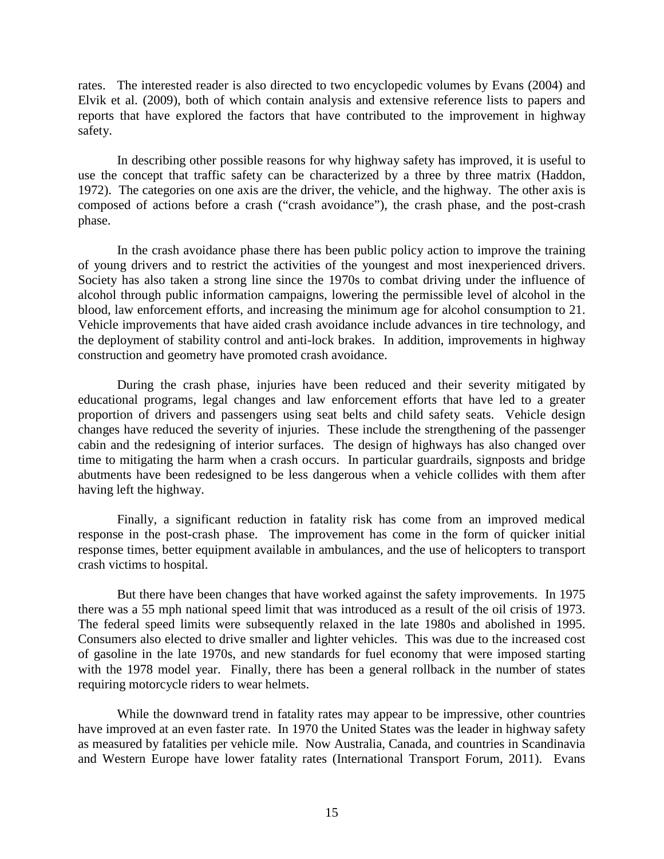rates. The interested reader is also directed to two encyclopedic volumes by Evans (2004) and Elvik et al. (2009), both of which contain analysis and extensive reference lists to papers and reports that have explored the factors that have contributed to the improvement in highway safety.

In describing other possible reasons for why highway safety has improved, it is useful to use the concept that traffic safety can be characterized by a three by three matrix (Haddon, 1972). The categories on one axis are the driver, the vehicle, and the highway. The other axis is composed of actions before a crash ("crash avoidance"), the crash phase, and the post-crash phase.

In the crash avoidance phase there has been public policy action to improve the training of young drivers and to restrict the activities of the youngest and most inexperienced drivers. Society has also taken a strong line since the 1970s to combat driving under the influence of alcohol through public information campaigns, lowering the permissible level of alcohol in the blood, law enforcement efforts, and increasing the minimum age for alcohol consumption to 21. Vehicle improvements that have aided crash avoidance include advances in tire technology, and the deployment of stability control and anti-lock brakes. In addition, improvements in highway construction and geometry have promoted crash avoidance.

During the crash phase, injuries have been reduced and their severity mitigated by educational programs, legal changes and law enforcement efforts that have led to a greater proportion of drivers and passengers using seat belts and child safety seats. Vehicle design changes have reduced the severity of injuries. These include the strengthening of the passenger cabin and the redesigning of interior surfaces. The design of highways has also changed over time to mitigating the harm when a crash occurs. In particular guardrails, signposts and bridge abutments have been redesigned to be less dangerous when a vehicle collides with them after having left the highway.

Finally, a significant reduction in fatality risk has come from an improved medical response in the post-crash phase. The improvement has come in the form of quicker initial response times, better equipment available in ambulances, and the use of helicopters to transport crash victims to hospital.

But there have been changes that have worked against the safety improvements. In 1975 there was a 55 mph national speed limit that was introduced as a result of the oil crisis of 1973. The federal speed limits were subsequently relaxed in the late 1980s and abolished in 1995. Consumers also elected to drive smaller and lighter vehicles. This was due to the increased cost of gasoline in the late 1970s, and new standards for fuel economy that were imposed starting with the 1978 model year. Finally, there has been a general rollback in the number of states requiring motorcycle riders to wear helmets.

While the downward trend in fatality rates may appear to be impressive, other countries have improved at an even faster rate. In 1970 the United States was the leader in highway safety as measured by fatalities per vehicle mile. Now Australia, Canada, and countries in Scandinavia and Western Europe have lower fatality rates (International Transport Forum, 2011). Evans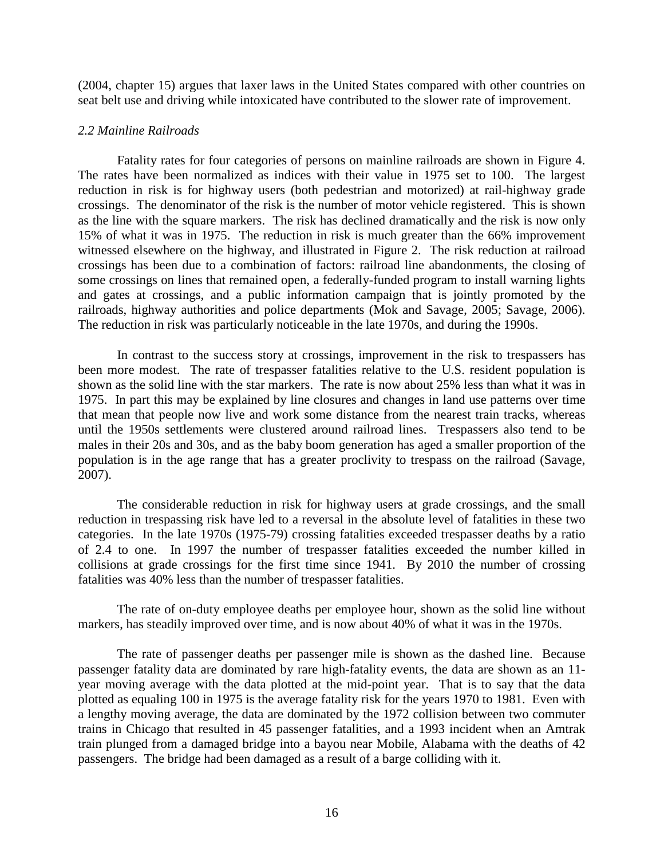(2004, chapter 15) argues that laxer laws in the United States compared with other countries on seat belt use and driving while intoxicated have contributed to the slower rate of improvement.

#### *2.2 Mainline Railroads*

Fatality rates for four categories of persons on mainline railroads are shown in Figure 4. The rates have been normalized as indices with their value in 1975 set to 100. The largest reduction in risk is for highway users (both pedestrian and motorized) at rail-highway grade crossings. The denominator of the risk is the number of motor vehicle registered. This is shown as the line with the square markers. The risk has declined dramatically and the risk is now only 15% of what it was in 1975. The reduction in risk is much greater than the 66% improvement witnessed elsewhere on the highway, and illustrated in Figure 2. The risk reduction at railroad crossings has been due to a combination of factors: railroad line abandonments, the closing of some crossings on lines that remained open, a federally-funded program to install warning lights and gates at crossings, and a public information campaign that is jointly promoted by the railroads, highway authorities and police departments (Mok and Savage, 2005; Savage, 2006). The reduction in risk was particularly noticeable in the late 1970s, and during the 1990s.

In contrast to the success story at crossings, improvement in the risk to trespassers has been more modest. The rate of trespasser fatalities relative to the U.S. resident population is shown as the solid line with the star markers. The rate is now about 25% less than what it was in 1975. In part this may be explained by line closures and changes in land use patterns over time that mean that people now live and work some distance from the nearest train tracks, whereas until the 1950s settlements were clustered around railroad lines. Trespassers also tend to be males in their 20s and 30s, and as the baby boom generation has aged a smaller proportion of the population is in the age range that has a greater proclivity to trespass on the railroad (Savage, 2007).

The considerable reduction in risk for highway users at grade crossings, and the small reduction in trespassing risk have led to a reversal in the absolute level of fatalities in these two categories. In the late 1970s (1975-79) crossing fatalities exceeded trespasser deaths by a ratio of 2.4 to one. In 1997 the number of trespasser fatalities exceeded the number killed in collisions at grade crossings for the first time since 1941. By 2010 the number of crossing fatalities was 40% less than the number of trespasser fatalities.

The rate of on-duty employee deaths per employee hour, shown as the solid line without markers, has steadily improved over time, and is now about 40% of what it was in the 1970s.

The rate of passenger deaths per passenger mile is shown as the dashed line. Because passenger fatality data are dominated by rare high-fatality events, the data are shown as an 11 year moving average with the data plotted at the mid-point year. That is to say that the data plotted as equaling 100 in 1975 is the average fatality risk for the years 1970 to 1981. Even with a lengthy moving average, the data are dominated by the 1972 collision between two commuter trains in Chicago that resulted in 45 passenger fatalities, and a 1993 incident when an Amtrak train plunged from a damaged bridge into a bayou near Mobile, Alabama with the deaths of 42 passengers. The bridge had been damaged as a result of a barge colliding with it.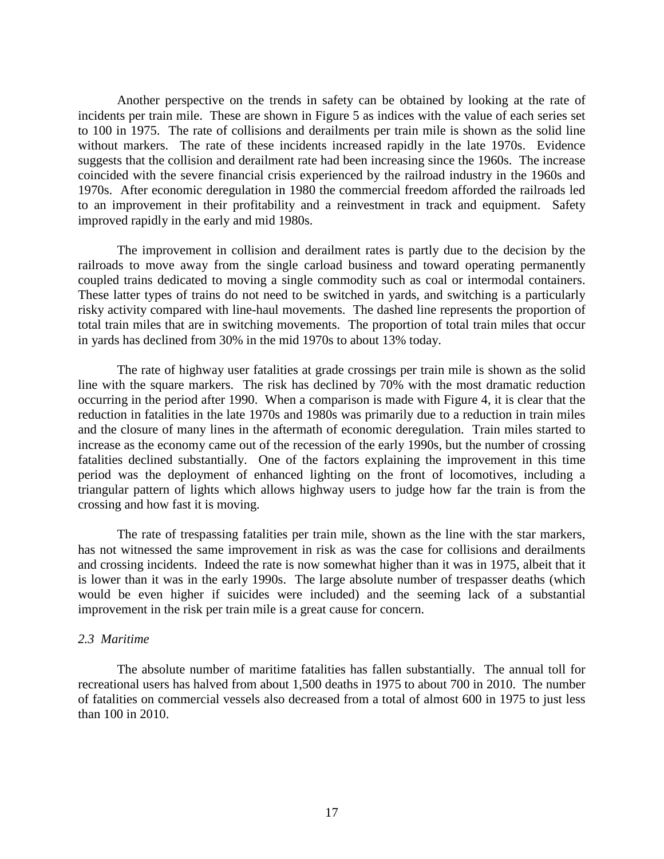Another perspective on the trends in safety can be obtained by looking at the rate of incidents per train mile. These are shown in Figure 5 as indices with the value of each series set to 100 in 1975. The rate of collisions and derailments per train mile is shown as the solid line without markers. The rate of these incidents increased rapidly in the late 1970s. Evidence suggests that the collision and derailment rate had been increasing since the 1960s. The increase coincided with the severe financial crisis experienced by the railroad industry in the 1960s and 1970s. After economic deregulation in 1980 the commercial freedom afforded the railroads led to an improvement in their profitability and a reinvestment in track and equipment. Safety improved rapidly in the early and mid 1980s.

The improvement in collision and derailment rates is partly due to the decision by the railroads to move away from the single carload business and toward operating permanently coupled trains dedicated to moving a single commodity such as coal or intermodal containers. These latter types of trains do not need to be switched in yards, and switching is a particularly risky activity compared with line-haul movements. The dashed line represents the proportion of total train miles that are in switching movements. The proportion of total train miles that occur in yards has declined from 30% in the mid 1970s to about 13% today.

The rate of highway user fatalities at grade crossings per train mile is shown as the solid line with the square markers. The risk has declined by 70% with the most dramatic reduction occurring in the period after 1990. When a comparison is made with Figure 4, it is clear that the reduction in fatalities in the late 1970s and 1980s was primarily due to a reduction in train miles and the closure of many lines in the aftermath of economic deregulation. Train miles started to increase as the economy came out of the recession of the early 1990s, but the number of crossing fatalities declined substantially. One of the factors explaining the improvement in this time period was the deployment of enhanced lighting on the front of locomotives, including a triangular pattern of lights which allows highway users to judge how far the train is from the crossing and how fast it is moving.

The rate of trespassing fatalities per train mile, shown as the line with the star markers, has not witnessed the same improvement in risk as was the case for collisions and derailments and crossing incidents. Indeed the rate is now somewhat higher than it was in 1975, albeit that it is lower than it was in the early 1990s. The large absolute number of trespasser deaths (which would be even higher if suicides were included) and the seeming lack of a substantial improvement in the risk per train mile is a great cause for concern.

## *2.3 Maritime*

The absolute number of maritime fatalities has fallen substantially. The annual toll for recreational users has halved from about 1,500 deaths in 1975 to about 700 in 2010. The number of fatalities on commercial vessels also decreased from a total of almost 600 in 1975 to just less than 100 in 2010.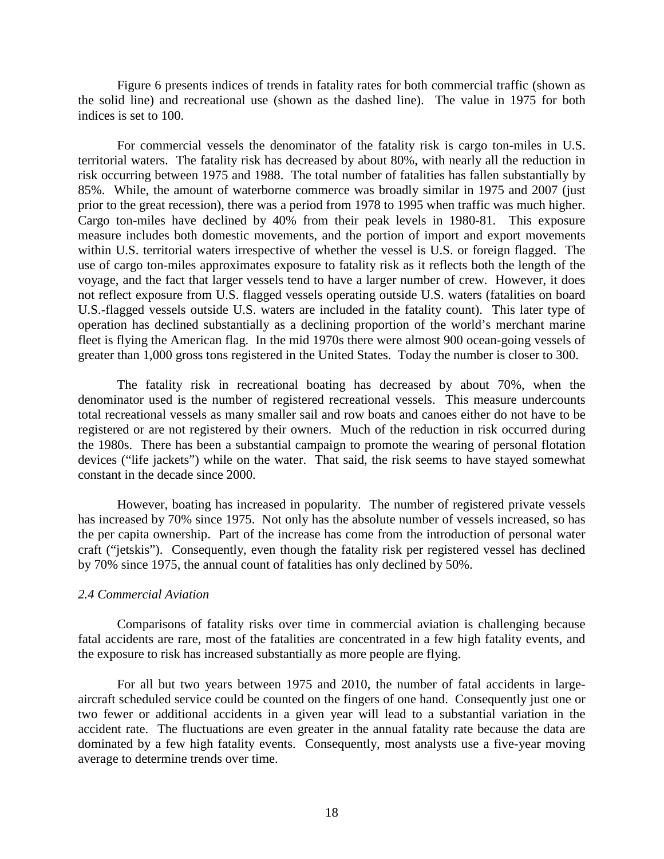Figure 6 presents indices of trends in fatality rates for both commercial traffic (shown as the solid line) and recreational use (shown as the dashed line). The value in 1975 for both indices is set to 100.

For commercial vessels the denominator of the fatality risk is cargo ton-miles in U.S. territorial waters. The fatality risk has decreased by about 80%, with nearly all the reduction in risk occurring between 1975 and 1988. The total number of fatalities has fallen substantially by 85%. While, the amount of waterborne commerce was broadly similar in 1975 and 2007 (just prior to the great recession), there was a period from 1978 to 1995 when traffic was much higher. Cargo ton-miles have declined by 40% from their peak levels in 1980-81. This exposure measure includes both domestic movements, and the portion of import and export movements within U.S. territorial waters irrespective of whether the vessel is U.S. or foreign flagged. The use of cargo ton-miles approximates exposure to fatality risk as it reflects both the length of the voyage, and the fact that larger vessels tend to have a larger number of crew. However, it does not reflect exposure from U.S. flagged vessels operating outside U.S. waters (fatalities on board U.S.-flagged vessels outside U.S. waters are included in the fatality count). This later type of operation has declined substantially as a declining proportion of the world's merchant marine fleet is flying the American flag. In the mid 1970s there were almost 900 ocean-going vessels of greater than 1,000 gross tons registered in the United States. Today the number is closer to 300.

The fatality risk in recreational boating has decreased by about 70%, when the denominator used is the number of registered recreational vessels. This measure undercounts total recreational vessels as many smaller sail and row boats and canoes either do not have to be registered or are not registered by their owners. Much of the reduction in risk occurred during the 1980s. There has been a substantial campaign to promote the wearing of personal flotation devices ("life jackets") while on the water. That said, the risk seems to have stayed somewhat constant in the decade since 2000.

However, boating has increased in popularity. The number of registered private vessels has increased by 70% since 1975. Not only has the absolute number of vessels increased, so has the per capita ownership. Part of the increase has come from the introduction of personal water craft ("jetskis"). Consequently, even though the fatality risk per registered vessel has declined by 70% since 1975, the annual count of fatalities has only declined by 50%.

#### *2.4 Commercial Aviation*

Comparisons of fatality risks over time in commercial aviation is challenging because fatal accidents are rare, most of the fatalities are concentrated in a few high fatality events, and the exposure to risk has increased substantially as more people are flying.

For all but two years between 1975 and 2010, the number of fatal accidents in largeaircraft scheduled service could be counted on the fingers of one hand. Consequently just one or two fewer or additional accidents in a given year will lead to a substantial variation in the accident rate. The fluctuations are even greater in the annual fatality rate because the data are dominated by a few high fatality events. Consequently, most analysts use a five-year moving average to determine trends over time.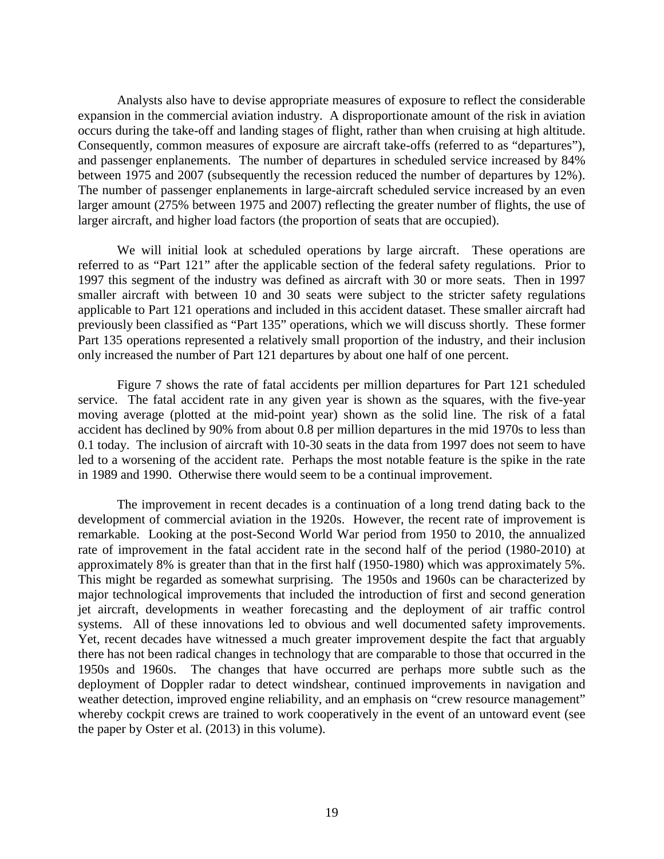Analysts also have to devise appropriate measures of exposure to reflect the considerable expansion in the commercial aviation industry. A disproportionate amount of the risk in aviation occurs during the take-off and landing stages of flight, rather than when cruising at high altitude. Consequently, common measures of exposure are aircraft take-offs (referred to as "departures"), and passenger enplanements. The number of departures in scheduled service increased by 84% between 1975 and 2007 (subsequently the recession reduced the number of departures by 12%). The number of passenger enplanements in large-aircraft scheduled service increased by an even larger amount (275% between 1975 and 2007) reflecting the greater number of flights, the use of larger aircraft, and higher load factors (the proportion of seats that are occupied).

We will initial look at scheduled operations by large aircraft. These operations are referred to as "Part 121" after the applicable section of the federal safety regulations. Prior to 1997 this segment of the industry was defined as aircraft with 30 or more seats. Then in 1997 smaller aircraft with between 10 and 30 seats were subject to the stricter safety regulations applicable to Part 121 operations and included in this accident dataset. These smaller aircraft had previously been classified as "Part 135" operations, which we will discuss shortly. These former Part 135 operations represented a relatively small proportion of the industry, and their inclusion only increased the number of Part 121 departures by about one half of one percent.

Figure 7 shows the rate of fatal accidents per million departures for Part 121 scheduled service. The fatal accident rate in any given year is shown as the squares, with the five-year moving average (plotted at the mid-point year) shown as the solid line. The risk of a fatal accident has declined by 90% from about 0.8 per million departures in the mid 1970s to less than 0.1 today. The inclusion of aircraft with 10-30 seats in the data from 1997 does not seem to have led to a worsening of the accident rate. Perhaps the most notable feature is the spike in the rate in 1989 and 1990. Otherwise there would seem to be a continual improvement.

The improvement in recent decades is a continuation of a long trend dating back to the development of commercial aviation in the 1920s. However, the recent rate of improvement is remarkable. Looking at the post-Second World War period from 1950 to 2010, the annualized rate of improvement in the fatal accident rate in the second half of the period (1980-2010) at approximately 8% is greater than that in the first half (1950-1980) which was approximately 5%. This might be regarded as somewhat surprising. The 1950s and 1960s can be characterized by major technological improvements that included the introduction of first and second generation jet aircraft, developments in weather forecasting and the deployment of air traffic control systems. All of these innovations led to obvious and well documented safety improvements. Yet, recent decades have witnessed a much greater improvement despite the fact that arguably there has not been radical changes in technology that are comparable to those that occurred in the 1950s and 1960s. The changes that have occurred are perhaps more subtle such as the deployment of Doppler radar to detect windshear, continued improvements in navigation and weather detection, improved engine reliability, and an emphasis on "crew resource management" whereby cockpit crews are trained to work cooperatively in the event of an untoward event (see the paper by Oster et al. (2013) in this volume).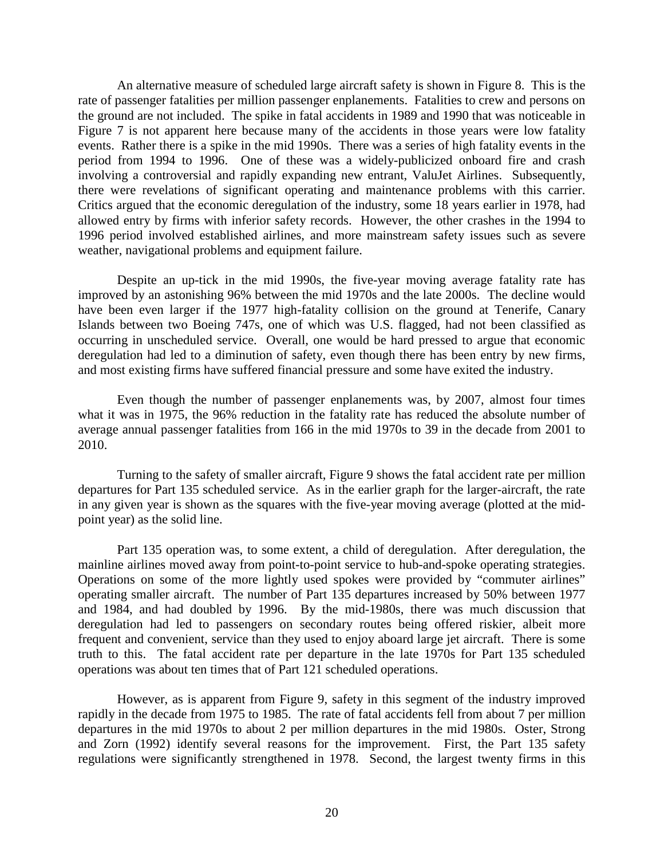An alternative measure of scheduled large aircraft safety is shown in Figure 8. This is the rate of passenger fatalities per million passenger enplanements. Fatalities to crew and persons on the ground are not included. The spike in fatal accidents in 1989 and 1990 that was noticeable in Figure 7 is not apparent here because many of the accidents in those years were low fatality events. Rather there is a spike in the mid 1990s. There was a series of high fatality events in the period from 1994 to 1996. One of these was a widely-publicized onboard fire and crash involving a controversial and rapidly expanding new entrant, ValuJet Airlines. Subsequently, there were revelations of significant operating and maintenance problems with this carrier. Critics argued that the economic deregulation of the industry, some 18 years earlier in 1978, had allowed entry by firms with inferior safety records. However, the other crashes in the 1994 to 1996 period involved established airlines, and more mainstream safety issues such as severe weather, navigational problems and equipment failure.

Despite an up-tick in the mid 1990s, the five-year moving average fatality rate has improved by an astonishing 96% between the mid 1970s and the late 2000s. The decline would have been even larger if the 1977 high-fatality collision on the ground at Tenerife, Canary Islands between two Boeing 747s, one of which was U.S. flagged, had not been classified as occurring in unscheduled service. Overall, one would be hard pressed to argue that economic deregulation had led to a diminution of safety, even though there has been entry by new firms, and most existing firms have suffered financial pressure and some have exited the industry.

Even though the number of passenger enplanements was, by 2007, almost four times what it was in 1975, the 96% reduction in the fatality rate has reduced the absolute number of average annual passenger fatalities from 166 in the mid 1970s to 39 in the decade from 2001 to 2010.

Turning to the safety of smaller aircraft, Figure 9 shows the fatal accident rate per million departures for Part 135 scheduled service. As in the earlier graph for the larger-aircraft, the rate in any given year is shown as the squares with the five-year moving average (plotted at the midpoint year) as the solid line.

Part 135 operation was, to some extent, a child of deregulation. After deregulation, the mainline airlines moved away from point-to-point service to hub-and-spoke operating strategies. Operations on some of the more lightly used spokes were provided by "commuter airlines" operating smaller aircraft. The number of Part 135 departures increased by 50% between 1977 and 1984, and had doubled by 1996. By the mid-1980s, there was much discussion that deregulation had led to passengers on secondary routes being offered riskier, albeit more frequent and convenient, service than they used to enjoy aboard large jet aircraft. There is some truth to this. The fatal accident rate per departure in the late 1970s for Part 135 scheduled operations was about ten times that of Part 121 scheduled operations.

However, as is apparent from Figure 9, safety in this segment of the industry improved rapidly in the decade from 1975 to 1985. The rate of fatal accidents fell from about 7 per million departures in the mid 1970s to about 2 per million departures in the mid 1980s. Oster, Strong and Zorn (1992) identify several reasons for the improvement. First, the Part 135 safety regulations were significantly strengthened in 1978. Second, the largest twenty firms in this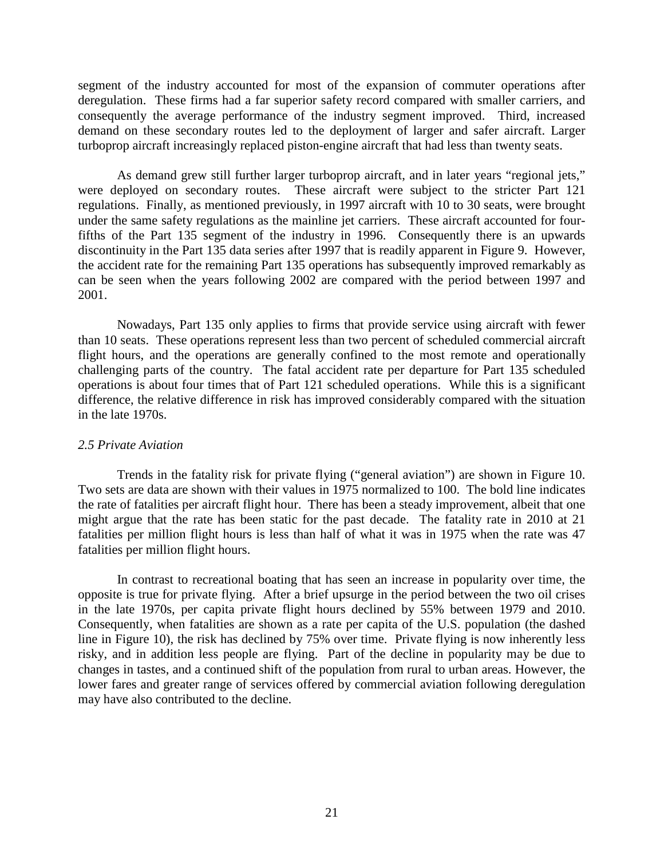segment of the industry accounted for most of the expansion of commuter operations after deregulation. These firms had a far superior safety record compared with smaller carriers, and consequently the average performance of the industry segment improved. Third, increased demand on these secondary routes led to the deployment of larger and safer aircraft. Larger turboprop aircraft increasingly replaced piston-engine aircraft that had less than twenty seats.

As demand grew still further larger turboprop aircraft, and in later years "regional jets," were deployed on secondary routes. These aircraft were subject to the stricter Part 121 regulations. Finally, as mentioned previously, in 1997 aircraft with 10 to 30 seats, were brought under the same safety regulations as the mainline jet carriers. These aircraft accounted for fourfifths of the Part 135 segment of the industry in 1996. Consequently there is an upwards discontinuity in the Part 135 data series after 1997 that is readily apparent in Figure 9. However, the accident rate for the remaining Part 135 operations has subsequently improved remarkably as can be seen when the years following 2002 are compared with the period between 1997 and 2001.

Nowadays, Part 135 only applies to firms that provide service using aircraft with fewer than 10 seats. These operations represent less than two percent of scheduled commercial aircraft flight hours, and the operations are generally confined to the most remote and operationally challenging parts of the country. The fatal accident rate per departure for Part 135 scheduled operations is about four times that of Part 121 scheduled operations. While this is a significant difference, the relative difference in risk has improved considerably compared with the situation in the late 1970s.

## *2.5 Private Aviation*

Trends in the fatality risk for private flying ("general aviation") are shown in Figure 10. Two sets are data are shown with their values in 1975 normalized to 100. The bold line indicates the rate of fatalities per aircraft flight hour. There has been a steady improvement, albeit that one might argue that the rate has been static for the past decade. The fatality rate in 2010 at 21 fatalities per million flight hours is less than half of what it was in 1975 when the rate was 47 fatalities per million flight hours.

In contrast to recreational boating that has seen an increase in popularity over time, the opposite is true for private flying. After a brief upsurge in the period between the two oil crises in the late 1970s, per capita private flight hours declined by 55% between 1979 and 2010. Consequently, when fatalities are shown as a rate per capita of the U.S. population (the dashed line in Figure 10), the risk has declined by 75% over time. Private flying is now inherently less risky, and in addition less people are flying. Part of the decline in popularity may be due to changes in tastes, and a continued shift of the population from rural to urban areas. However, the lower fares and greater range of services offered by commercial aviation following deregulation may have also contributed to the decline.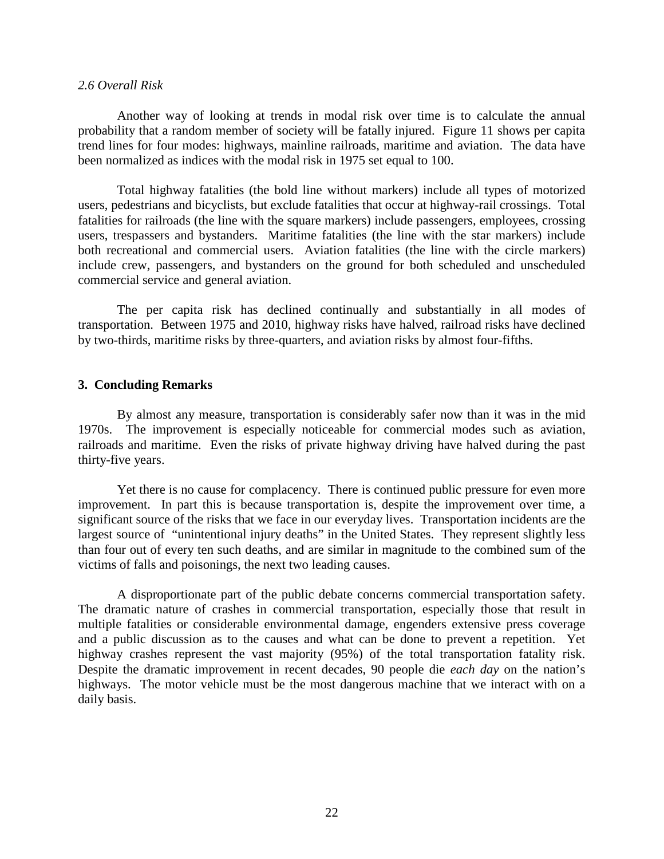#### *2.6 Overall Risk*

Another way of looking at trends in modal risk over time is to calculate the annual probability that a random member of society will be fatally injured. Figure 11 shows per capita trend lines for four modes: highways, mainline railroads, maritime and aviation. The data have been normalized as indices with the modal risk in 1975 set equal to 100.

Total highway fatalities (the bold line without markers) include all types of motorized users, pedestrians and bicyclists, but exclude fatalities that occur at highway-rail crossings. Total fatalities for railroads (the line with the square markers) include passengers, employees, crossing users, trespassers and bystanders. Maritime fatalities (the line with the star markers) include both recreational and commercial users. Aviation fatalities (the line with the circle markers) include crew, passengers, and bystanders on the ground for both scheduled and unscheduled commercial service and general aviation.

The per capita risk has declined continually and substantially in all modes of transportation. Between 1975 and 2010, highway risks have halved, railroad risks have declined by two-thirds, maritime risks by three-quarters, and aviation risks by almost four-fifths.

#### **3. Concluding Remarks**

By almost any measure, transportation is considerably safer now than it was in the mid 1970s. The improvement is especially noticeable for commercial modes such as aviation, railroads and maritime. Even the risks of private highway driving have halved during the past thirty-five years.

Yet there is no cause for complacency. There is continued public pressure for even more improvement. In part this is because transportation is, despite the improvement over time, a significant source of the risks that we face in our everyday lives. Transportation incidents are the largest source of "unintentional injury deaths" in the United States. They represent slightly less than four out of every ten such deaths, and are similar in magnitude to the combined sum of the victims of falls and poisonings, the next two leading causes.

A disproportionate part of the public debate concerns commercial transportation safety. The dramatic nature of crashes in commercial transportation, especially those that result in multiple fatalities or considerable environmental damage, engenders extensive press coverage and a public discussion as to the causes and what can be done to prevent a repetition. Yet highway crashes represent the vast majority (95%) of the total transportation fatality risk. Despite the dramatic improvement in recent decades, 90 people die *each day* on the nation's highways. The motor vehicle must be the most dangerous machine that we interact with on a daily basis.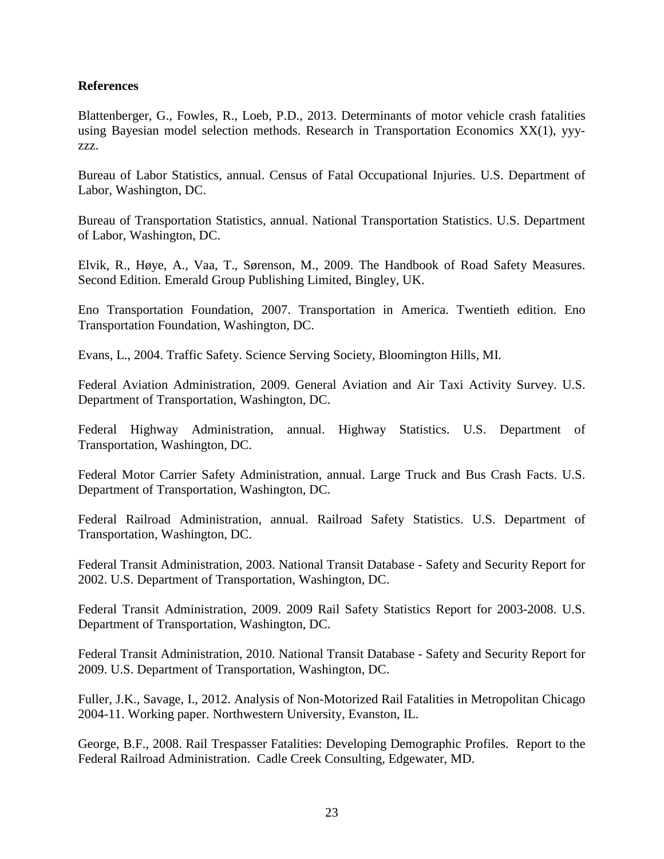# **References**

Blattenberger, G., Fowles, R., Loeb, P.D., 2013. Determinants of motor vehicle crash fatalities using Bayesian model selection methods. Research in Transportation Economics XX(1), yyyzzz.

Bureau of Labor Statistics, annual. Census of Fatal Occupational Injuries. U.S. Department of Labor, Washington, DC.

Bureau of Transportation Statistics, annual. National Transportation Statistics. U.S. Department of Labor, Washington, DC.

Elvik, R., Høye, A., Vaa, T., Sørenson, M., 2009. The Handbook of Road Safety Measures. Second Edition. Emerald Group Publishing Limited, Bingley, UK.

Eno Transportation Foundation, 2007. Transportation in America. Twentieth edition. Eno Transportation Foundation, Washington, DC.

Evans, L., 2004. Traffic Safety. Science Serving Society, Bloomington Hills, MI.

Federal Aviation Administration, 2009. General Aviation and Air Taxi Activity Survey. U.S. Department of Transportation, Washington, DC.

Federal Highway Administration, annual. Highway Statistics. U.S. Department of Transportation, Washington, DC.

Federal Motor Carrier Safety Administration, annual. Large Truck and Bus Crash Facts. U.S. Department of Transportation, Washington, DC.

Federal Railroad Administration, annual. Railroad Safety Statistics. U.S. Department of Transportation, Washington, DC.

Federal Transit Administration, 2003. National Transit Database - Safety and Security Report for 2002. U.S. Department of Transportation, Washington, DC.

Federal Transit Administration, 2009. 2009 Rail Safety Statistics Report for 2003-2008. U.S. Department of Transportation, Washington, DC.

Federal Transit Administration, 2010. National Transit Database - Safety and Security Report for 2009. U.S. Department of Transportation, Washington, DC.

Fuller, J.K., Savage, I., 2012. Analysis of Non-Motorized Rail Fatalities in Metropolitan Chicago 2004-11. Working paper. Northwestern University, Evanston, IL.

George, B.F., 2008. Rail Trespasser Fatalities: Developing Demographic Profiles. Report to the Federal Railroad Administration. Cadle Creek Consulting, Edgewater, MD.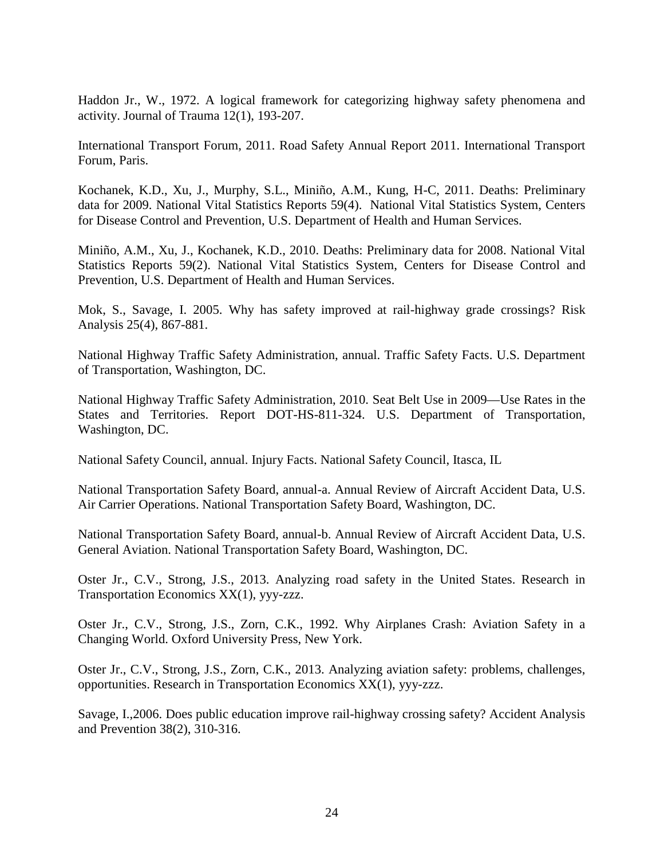Haddon Jr., W., 1972. A logical framework for categorizing highway safety phenomena and activity. Journal of Trauma 12(1), 193-207.

International Transport Forum, 2011. Road Safety Annual Report 2011. International Transport Forum, Paris.

Kochanek, K.D., Xu, J., Murphy, S.L., Miniño, A.M., Kung, H-C, 2011. Deaths: Preliminary data for 2009. National Vital Statistics Reports 59(4). National Vital Statistics System, Centers for Disease Control and Prevention, U.S. Department of Health and Human Services.

Miniño, A.M., Xu, J., Kochanek, K.D., 2010. Deaths: Preliminary data for 2008. National Vital Statistics Reports 59(2). National Vital Statistics System, Centers for Disease Control and Prevention, U.S. Department of Health and Human Services.

Mok, S., Savage, I. 2005. Why has safety improved at rail-highway grade crossings? Risk Analysis 25(4), 867-881.

National Highway Traffic Safety Administration, annual. Traffic Safety Facts. U.S. Department of Transportation, Washington, DC.

National Highway Traffic Safety Administration, 2010. Seat Belt Use in 2009—Use Rates in the States and Territories. Report DOT-HS-811-324. U.S. Department of Transportation, Washington, DC.

National Safety Council, annual. Injury Facts. National Safety Council, Itasca, IL

National Transportation Safety Board, annual-a. Annual Review of Aircraft Accident Data, U.S. Air Carrier Operations. National Transportation Safety Board, Washington, DC.

National Transportation Safety Board, annual-b. Annual Review of Aircraft Accident Data, U.S. General Aviation. National Transportation Safety Board, Washington, DC.

Oster Jr., C.V., Strong, J.S., 2013. Analyzing road safety in the United States. Research in Transportation Economics XX(1), yyy-zzz.

Oster Jr., C.V., Strong, J.S., Zorn, C.K., 1992. Why Airplanes Crash: Aviation Safety in a Changing World. Oxford University Press, New York.

Oster Jr., C.V., Strong, J.S., Zorn, C.K., 2013. Analyzing aviation safety: problems, challenges, opportunities. Research in Transportation Economics XX(1), yyy-zzz.

Savage, I.,2006. Does public education improve rail-highway crossing safety? Accident Analysis and Prevention 38(2), 310-316.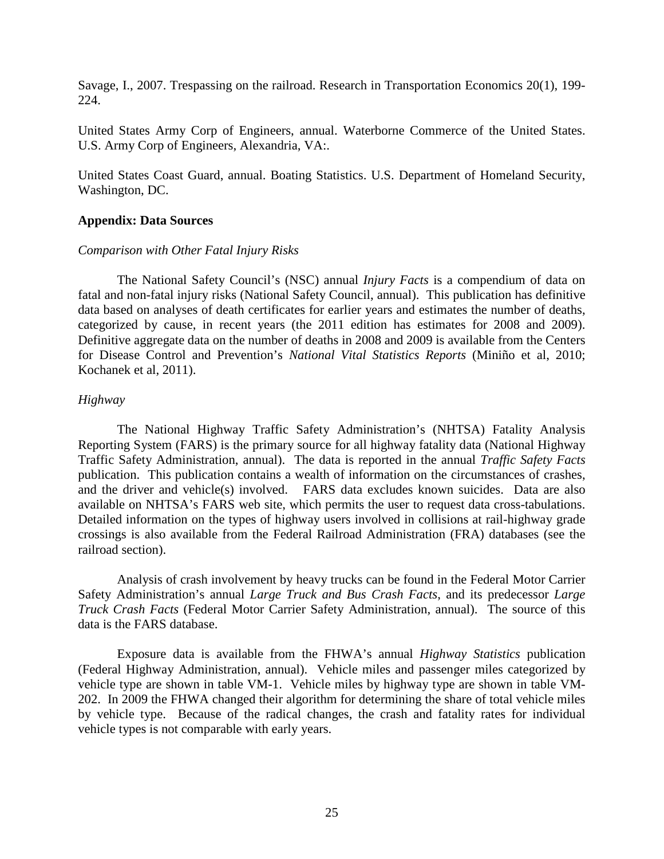Savage, I., 2007. Trespassing on the railroad. Research in Transportation Economics 20(1), 199- 224.

United States Army Corp of Engineers, annual. Waterborne Commerce of the United States. U.S. Army Corp of Engineers, Alexandria, VA:.

United States Coast Guard, annual. Boating Statistics. U.S. Department of Homeland Security, Washington, DC.

# **Appendix: Data Sources**

# *Comparison with Other Fatal Injury Risks*

The National Safety Council's (NSC) annual *Injury Facts* is a compendium of data on fatal and non-fatal injury risks (National Safety Council, annual). This publication has definitive data based on analyses of death certificates for earlier years and estimates the number of deaths, categorized by cause, in recent years (the 2011 edition has estimates for 2008 and 2009). Definitive aggregate data on the number of deaths in 2008 and 2009 is available from the Centers for Disease Control and Prevention's *National Vital Statistics Reports* (Miniño et al, 2010; Kochanek et al, 2011).

# *Highway*

The National Highway Traffic Safety Administration's (NHTSA) Fatality Analysis Reporting System (FARS) is the primary source for all highway fatality data (National Highway Traffic Safety Administration, annual). The data is reported in the annual *Traffic Safety Facts* publication. This publication contains a wealth of information on the circumstances of crashes, and the driver and vehicle(s) involved. FARS data excludes known suicides. Data are also available on NHTSA's FARS web site, which permits the user to request data cross-tabulations. Detailed information on the types of highway users involved in collisions at rail-highway grade crossings is also available from the Federal Railroad Administration (FRA) databases (see the railroad section).

Analysis of crash involvement by heavy trucks can be found in the Federal Motor Carrier Safety Administration's annual *Large Truck and Bus Crash Facts*, and its predecessor *Large Truck Crash Facts* (Federal Motor Carrier Safety Administration, annual). The source of this data is the FARS database.

Exposure data is available from the FHWA's annual *Highway Statistics* publication (Federal Highway Administration, annual). Vehicle miles and passenger miles categorized by vehicle type are shown in table VM-1. Vehicle miles by highway type are shown in table VM-202. In 2009 the FHWA changed their algorithm for determining the share of total vehicle miles by vehicle type. Because of the radical changes, the crash and fatality rates for individual vehicle types is not comparable with early years.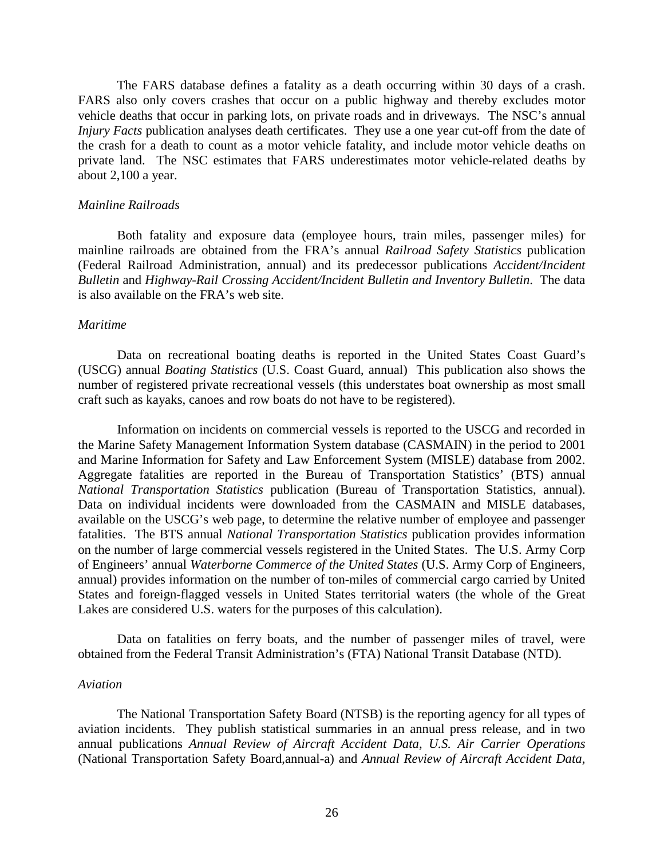The FARS database defines a fatality as a death occurring within 30 days of a crash. FARS also only covers crashes that occur on a public highway and thereby excludes motor vehicle deaths that occur in parking lots, on private roads and in driveways. The NSC's annual *Injury Facts* publication analyses death certificates. They use a one year cut-off from the date of the crash for a death to count as a motor vehicle fatality, and include motor vehicle deaths on private land. The NSC estimates that FARS underestimates motor vehicle-related deaths by about 2,100 a year.

#### *Mainline Railroads*

Both fatality and exposure data (employee hours, train miles, passenger miles) for mainline railroads are obtained from the FRA's annual *Railroad Safety Statistics* publication (Federal Railroad Administration, annual) and its predecessor publications *Accident/Incident Bulletin* and *Highway-Rail Crossing Accident/Incident Bulletin and Inventory Bulletin*. The data is also available on the FRA's web site.

#### *Maritime*

Data on recreational boating deaths is reported in the United States Coast Guard's (USCG) annual *Boating Statistics* (U.S. Coast Guard, annual) This publication also shows the number of registered private recreational vessels (this understates boat ownership as most small craft such as kayaks, canoes and row boats do not have to be registered).

Information on incidents on commercial vessels is reported to the USCG and recorded in the Marine Safety Management Information System database (CASMAIN) in the period to 2001 and Marine Information for Safety and Law Enforcement System (MISLE) database from 2002. Aggregate fatalities are reported in the Bureau of Transportation Statistics' (BTS) annual *National Transportation Statistics* publication (Bureau of Transportation Statistics, annual). Data on individual incidents were downloaded from the CASMAIN and MISLE databases, available on the USCG's web page, to determine the relative number of employee and passenger fatalities. The BTS annual *National Transportation Statistics* publication provides information on the number of large commercial vessels registered in the United States. The U.S. Army Corp of Engineers' annual *Waterborne Commerce of the United States* (U.S. Army Corp of Engineers, annual) provides information on the number of ton-miles of commercial cargo carried by United States and foreign-flagged vessels in United States territorial waters (the whole of the Great Lakes are considered U.S. waters for the purposes of this calculation).

Data on fatalities on ferry boats, and the number of passenger miles of travel, were obtained from the Federal Transit Administration's (FTA) National Transit Database (NTD).

#### *Aviation*

The National Transportation Safety Board (NTSB) is the reporting agency for all types of aviation incidents. They publish statistical summaries in an annual press release, and in two annual publications *Annual Review of Aircraft Accident Data, U.S. Air Carrier Operations* (National Transportation Safety Board,annual-a) and *Annual Review of Aircraft Accident Data,*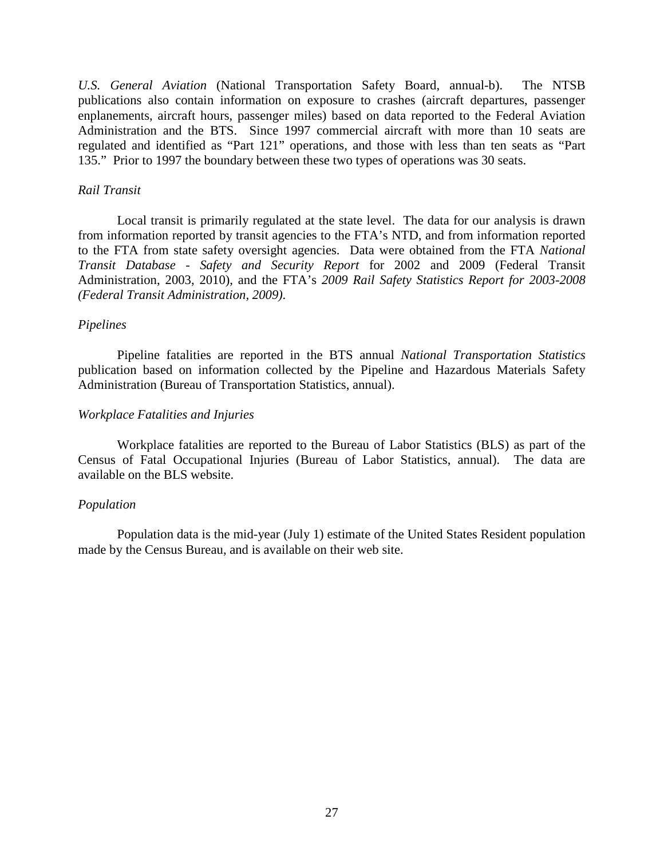*U.S. General Aviation* (National Transportation Safety Board, annual-b). The NTSB publications also contain information on exposure to crashes (aircraft departures, passenger enplanements, aircraft hours, passenger miles) based on data reported to the Federal Aviation Administration and the BTS. Since 1997 commercial aircraft with more than 10 seats are regulated and identified as "Part 121" operations, and those with less than ten seats as "Part 135." Prior to 1997 the boundary between these two types of operations was 30 seats.

### *Rail Transit*

Local transit is primarily regulated at the state level. The data for our analysis is drawn from information reported by transit agencies to the FTA's NTD, and from information reported to the FTA from state safety oversight agencies. Data were obtained from the FTA *National Transit Database - Safety and Security Report* for 2002 and 2009 (Federal Transit Administration, 2003, 2010), and the FTA's *2009 Rail Safety Statistics Report for 2003-2008 (Federal Transit Administration, 2009)*.

# *Pipelines*

Pipeline fatalities are reported in the BTS annual *National Transportation Statistics* publication based on information collected by the Pipeline and Hazardous Materials Safety Administration (Bureau of Transportation Statistics, annual).

#### *Workplace Fatalities and Injuries*

Workplace fatalities are reported to the Bureau of Labor Statistics (BLS) as part of the Census of Fatal Occupational Injuries (Bureau of Labor Statistics, annual). The data are available on the BLS website.

## *Population*

Population data is the mid-year (July 1) estimate of the United States Resident population made by the Census Bureau, and is available on their web site.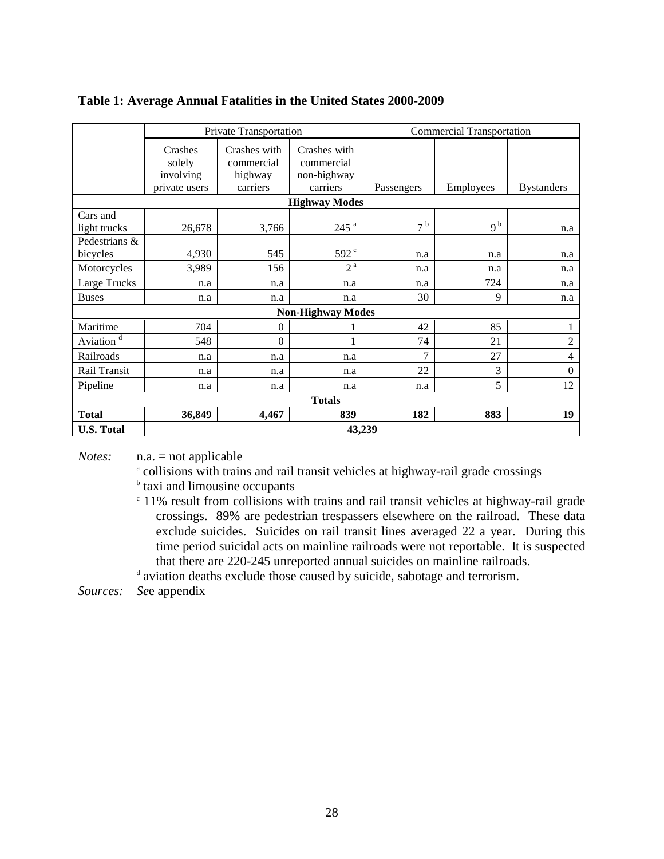|                           | Private Transportation                          |                                                   |                                                       | <b>Commercial Transportation</b> |                |                   |  |  |
|---------------------------|-------------------------------------------------|---------------------------------------------------|-------------------------------------------------------|----------------------------------|----------------|-------------------|--|--|
|                           | Crashes<br>solely<br>involving<br>private users | Crashes with<br>commercial<br>highway<br>carriers | Crashes with<br>commercial<br>non-highway<br>carriers | Passengers                       | Employees      | <b>Bystanders</b> |  |  |
| <b>Highway Modes</b>      |                                                 |                                                   |                                                       |                                  |                |                   |  |  |
| Cars and<br>light trucks  | 26,678                                          | 3,766                                             | $245$ <sup>a</sup>                                    | 7 <sup>b</sup>                   | 9 <sup>b</sup> | n.a               |  |  |
| Pedestrians &<br>bicycles | 4,930                                           | 545                                               | 592 <sup>c</sup>                                      | n.a                              | n.a            | n.a               |  |  |
| Motorcycles               | 3,989                                           | 156                                               | 2 <sup>a</sup>                                        | n.a                              | n.a            | n.a               |  |  |
| Large Trucks              | n.a                                             | n.a                                               | n.a                                                   | n.a                              | 724            | n.a               |  |  |
| <b>Buses</b>              | n.a                                             | n.a                                               | n.a                                                   | 30                               | 9              | n.a               |  |  |
| <b>Non-Highway Modes</b>  |                                                 |                                                   |                                                       |                                  |                |                   |  |  |
| Maritime                  | 704                                             | $\mathbf{0}$                                      |                                                       | 42                               | 85             | $\bf{l}$          |  |  |
| Aviation $\overline{d}$   | 548                                             | $\Omega$                                          |                                                       | 74                               | 21             | $\overline{2}$    |  |  |
| Railroads                 | n.a                                             | n.a                                               | n.a                                                   | 7                                | 27             | $\overline{4}$    |  |  |
| Rail Transit              | n.a                                             | n.a                                               | n.a                                                   | 22                               | 3              | $\boldsymbol{0}$  |  |  |
| Pipeline                  | n.a                                             | n.a                                               | n.a                                                   | n.a                              | 5              | 12                |  |  |
| <b>Totals</b>             |                                                 |                                                   |                                                       |                                  |                |                   |  |  |
| <b>Total</b>              | 36,849                                          | 4,467                                             | 839                                                   | 182                              | 883            | 19                |  |  |
| <b>U.S. Total</b>         | 43,239                                          |                                                   |                                                       |                                  |                |                   |  |  |

# **Table 1: Average Annual Fatalities in the United States 2000-2009**

*Notes:* n.a. = not applicable

<sup>a</sup> collisions with trains and rail transit vehicles at highway-rail grade crossings

**b** taxi and limousine occupants

<sup>c</sup> 11% result from collisions with trains and rail transit vehicles at highway-rail grade crossings. 89% are pedestrian trespassers elsewhere on the railroad. These data exclude suicides. Suicides on rail transit lines averaged 22 a year. During this time period suicidal acts on mainline railroads were not reportable. It is suspected that there are 220-245 unreported annual suicides on mainline railroads.

<sup>d</sup> aviation deaths exclude those caused by suicide, sabotage and terrorism.

*Sources: Se*e appendix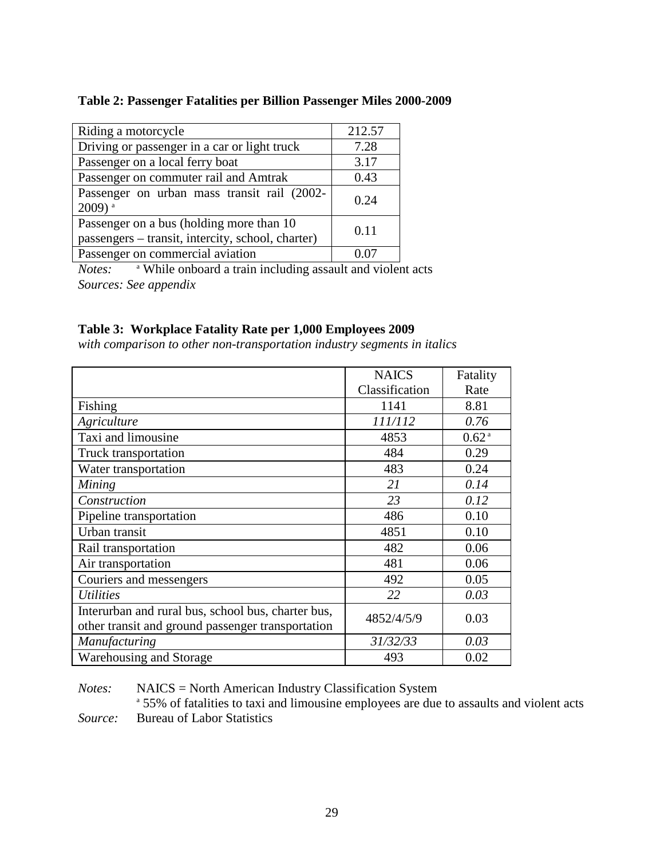# **Table 2: Passenger Fatalities per Billion Passenger Miles 2000-2009**

| Riding a motorcycle                                                                            | 212.57 |
|------------------------------------------------------------------------------------------------|--------|
| Driving or passenger in a car or light truck                                                   | 7.28   |
| Passenger on a local ferry boat                                                                | 3.17   |
| Passenger on commuter rail and Amtrak                                                          | 0.43   |
| Passenger on urban mass transit rail (2002-<br>$2009)$ <sup>a</sup>                            | 0.24   |
| Passenger on a bus (holding more than 10)<br>passengers - transit, intercity, school, charter) | 0.11   |
| Passenger on commercial aviation                                                               |        |

*Notes:* <sup>a</sup> While onboard a train including assault and violent acts *Sources: See appendix*

# **Table 3: Workplace Fatality Rate per 1,000 Employees 2009**

*with comparison to other non-transportation industry segments in italics*

|                                                    | <b>NAICS</b>   | Fatality          |
|----------------------------------------------------|----------------|-------------------|
|                                                    | Classification | Rate              |
| Fishing                                            | 1141           | 8.81              |
| Agriculture                                        | 111/112        | 0.76              |
| Taxi and limousine                                 | 4853           | 0.62 <sup>a</sup> |
| Truck transportation                               | 484            | 0.29              |
| Water transportation                               | 483            | 0.24              |
| Mining                                             | 21             | 0.14              |
| Construction                                       | 23             | 0.12              |
| Pipeline transportation                            | 486            | 0.10              |
| Urban transit                                      | 4851           | 0.10              |
| Rail transportation                                | 482            | 0.06              |
| Air transportation                                 | 481            | 0.06              |
| Couriers and messengers                            | 492            | 0.05              |
| <i>Utilities</i>                                   | 22             | 0.03              |
| Interurban and rural bus, school bus, charter bus, | 4852/4/5/9     | 0.03              |
| other transit and ground passenger transportation  |                |                   |
| Manufacturing                                      | 31/32/33       | 0.03              |
| Warehousing and Storage                            | 493            | 0.02              |

*Notes:* NAICS = North American Industry Classification System

<sup>a</sup> 55% of fatalities to taxi and limousine employees are due to assaults and violent acts *Source:* Bureau of Labor Statistics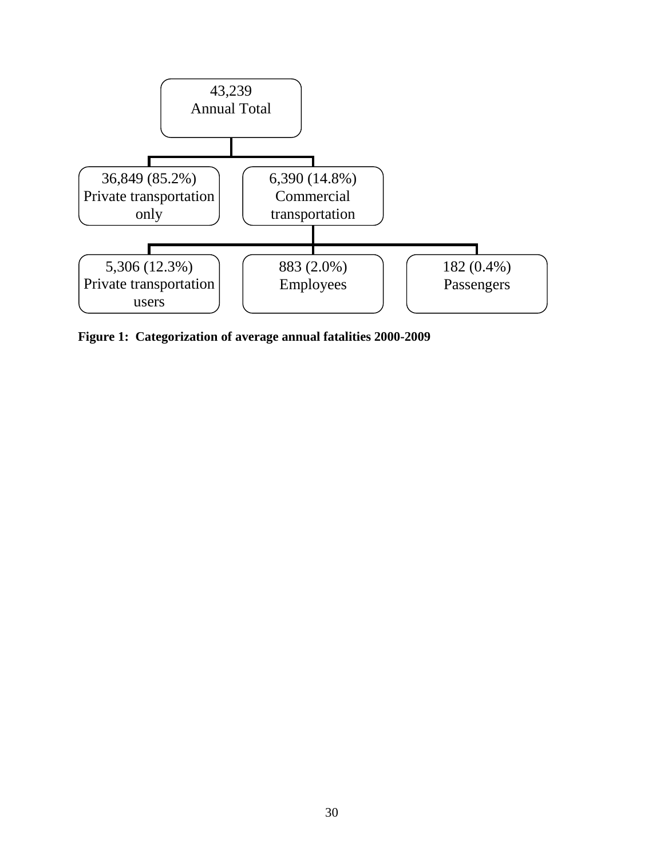

**Figure 1: Categorization of average annual fatalities 2000-2009**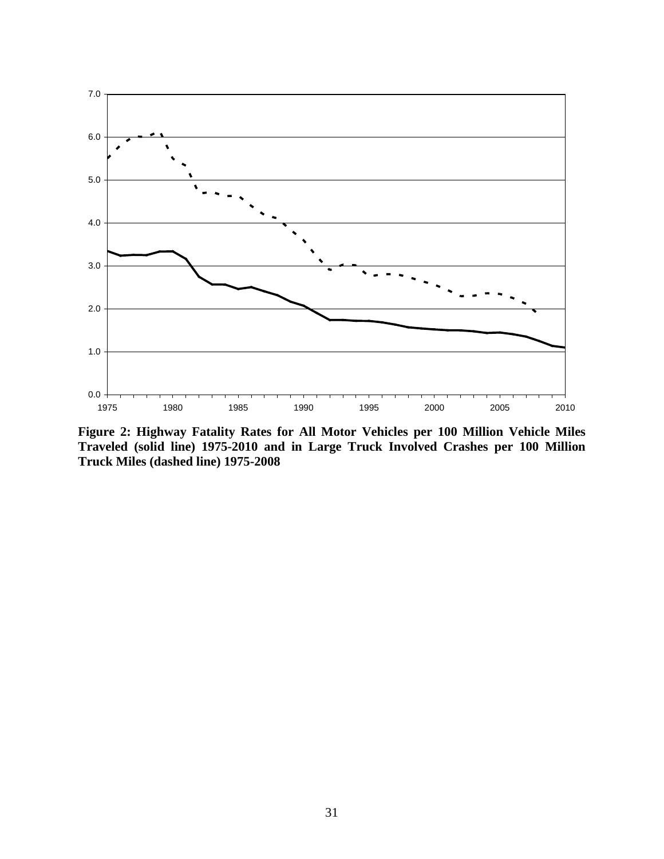

**Figure 2: Highway Fatality Rates for All Motor Vehicles per 100 Million Vehicle Miles Traveled (solid line) 1975-2010 and in Large Truck Involved Crashes per 100 Million Truck Miles (dashed line) 1975-2008**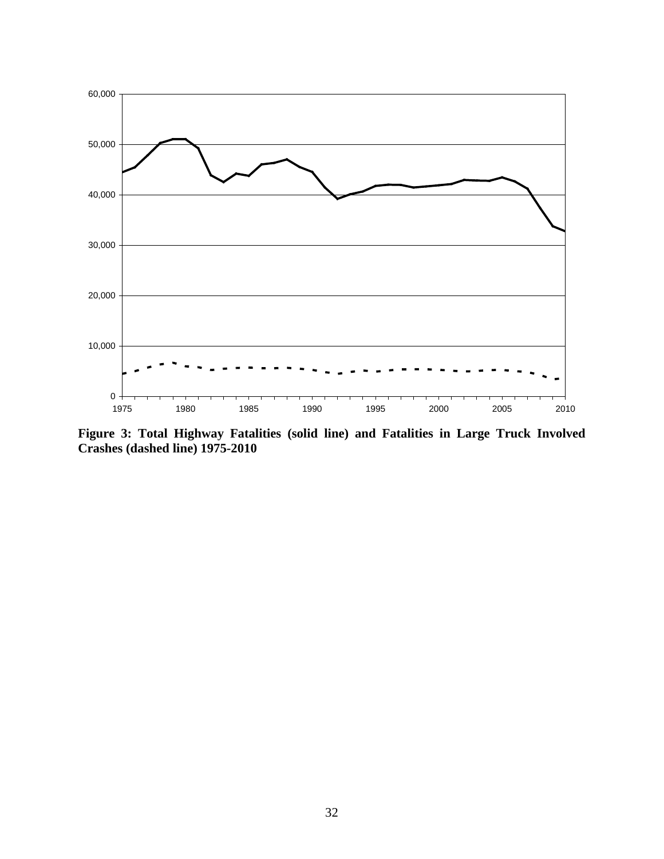

**Figure 3: Total Highway Fatalities (solid line) and Fatalities in Large Truck Involved Crashes (dashed line) 1975-2010**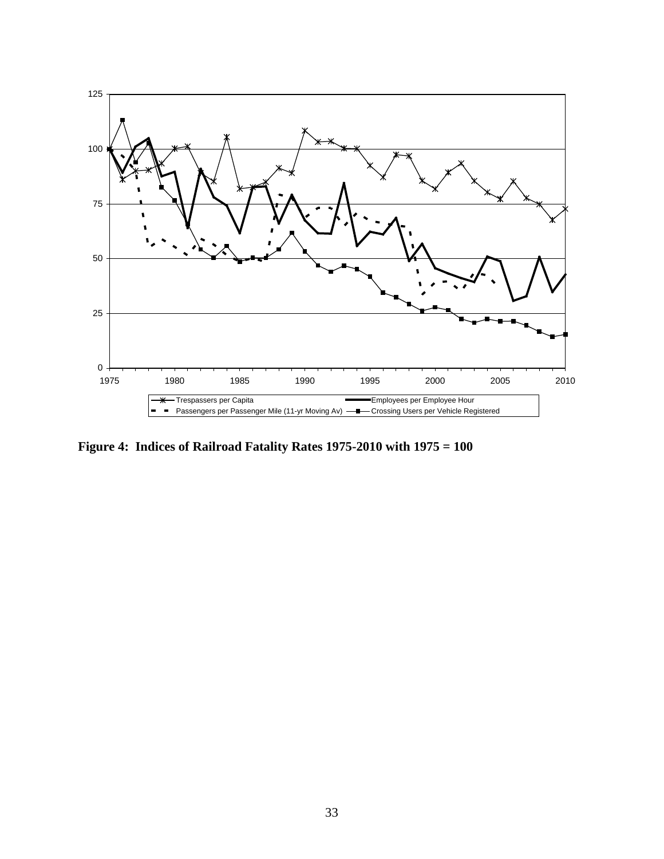

**Figure 4: Indices of Railroad Fatality Rates 1975-2010 with 1975 = 100**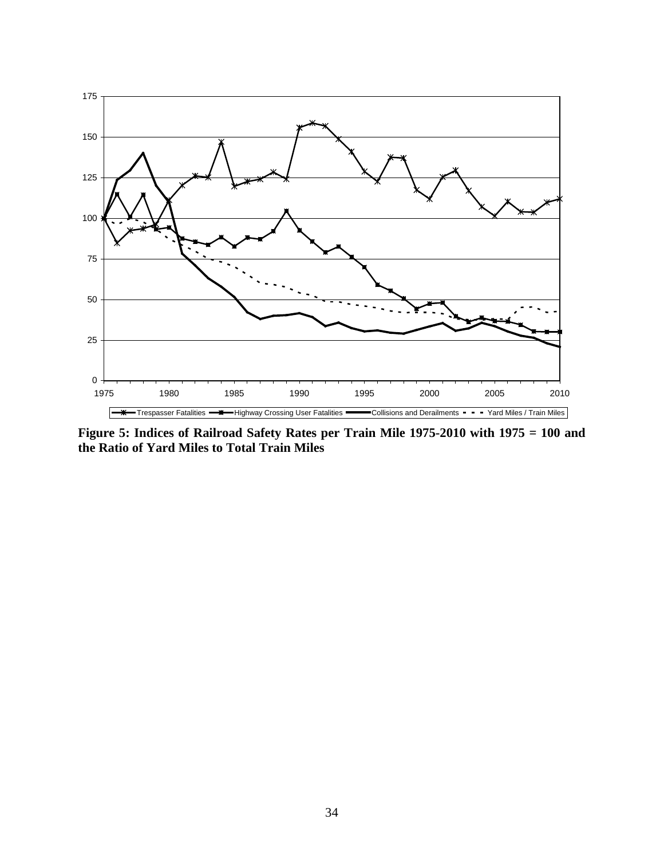

**Figure 5: Indices of Railroad Safety Rates per Train Mile 1975-2010 with 1975 = 100 and the Ratio of Yard Miles to Total Train Miles**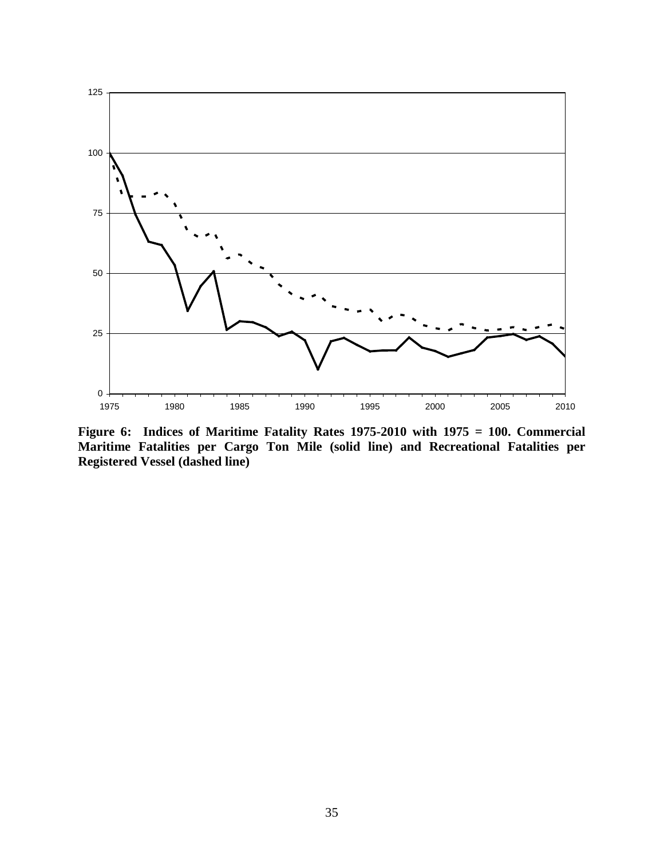

**Figure 6: Indices of Maritime Fatality Rates 1975-2010 with 1975 = 100. Commercial Maritime Fatalities per Cargo Ton Mile (solid line) and Recreational Fatalities per Registered Vessel (dashed line)**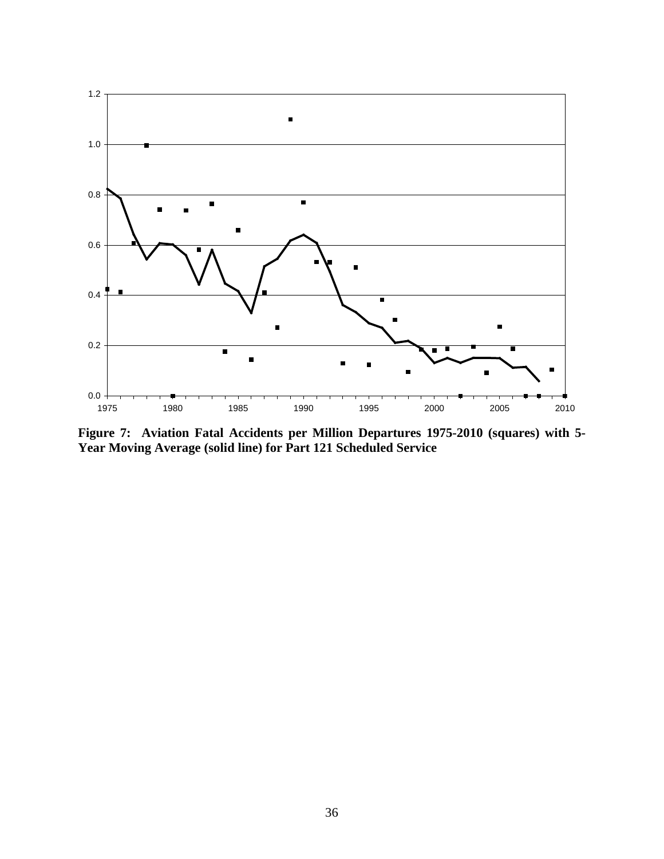

**Figure 7: Aviation Fatal Accidents per Million Departures 1975-2010 (squares) with 5- Year Moving Average (solid line) for Part 121 Scheduled Service**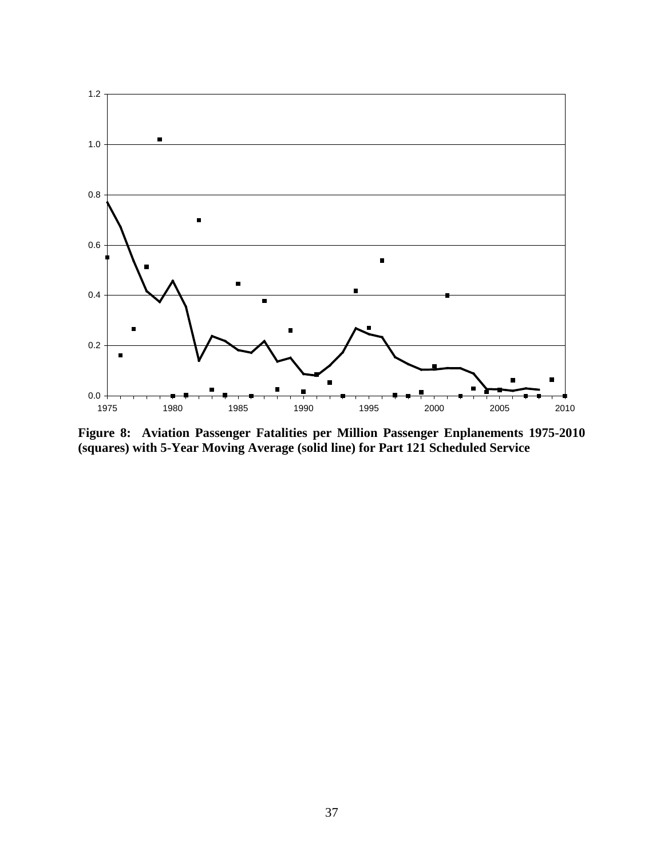

**Figure 8: Aviation Passenger Fatalities per Million Passenger Enplanements 1975-2010 (squares) with 5-Year Moving Average (solid line) for Part 121 Scheduled Service**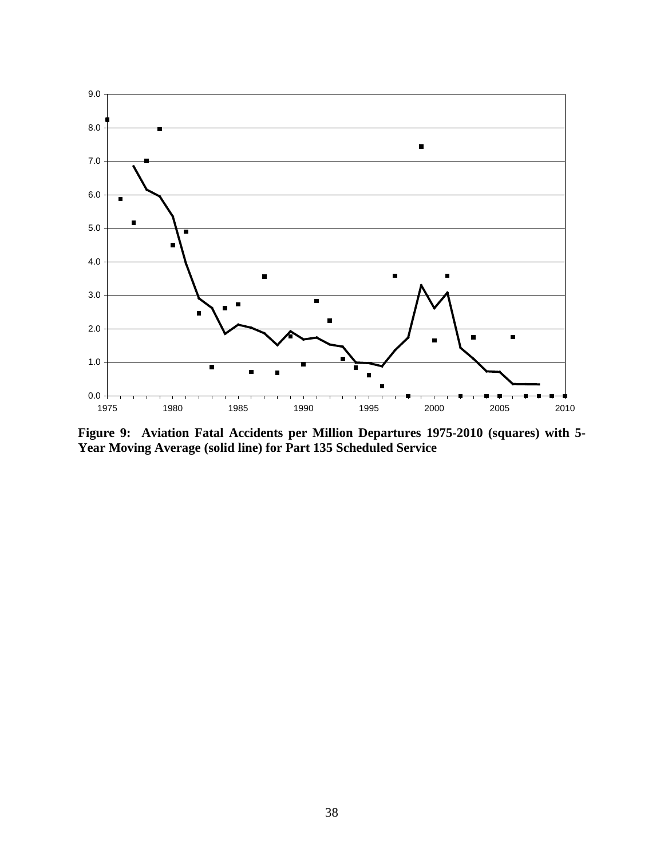

**Figure 9: Aviation Fatal Accidents per Million Departures 1975-2010 (squares) with 5- Year Moving Average (solid line) for Part 135 Scheduled Service**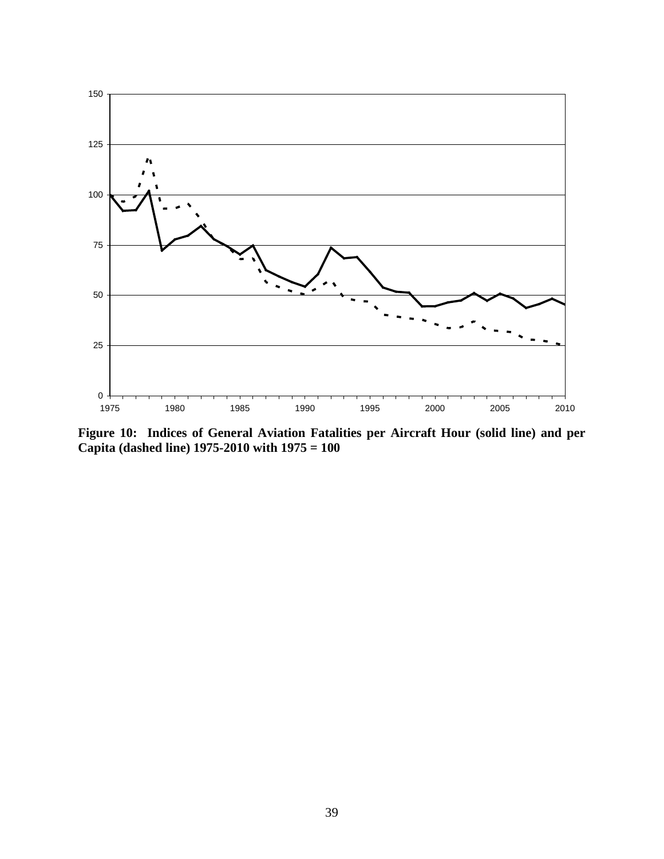

**Figure 10: Indices of General Aviation Fatalities per Aircraft Hour (solid line) and per Capita (dashed line) 1975-2010 with 1975 = 100**